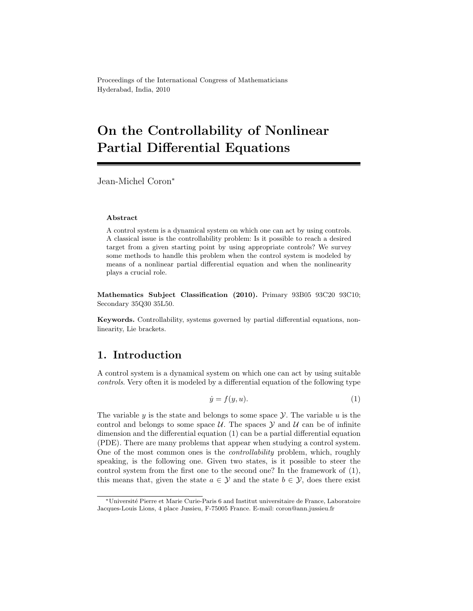Proceedings of the International Congress of Mathematicians Hyderabad, India, 2010

# On the Controllability of Nonlinear Partial Differential Equations

Jean-Michel Coron<sup>∗</sup>

#### Abstract

A control system is a dynamical system on which one can act by using controls. A classical issue is the controllability problem: Is it possible to reach a desired target from a given starting point by using appropriate controls? We survey some methods to handle this problem when the control system is modeled by means of a nonlinear partial differential equation and when the nonlinearity plays a crucial role.

Mathematics Subject Classification (2010). Primary 93B05 93C20 93C10; Secondary 35Q30 35L50.

Keywords. Controllability, systems governed by partial differential equations, nonlinearity, Lie brackets.

## 1. Introduction

A control system is a dynamical system on which one can act by using suitable controls. Very often it is modeled by a differential equation of the following type

$$
\dot{y} = f(y, u). \tag{1}
$$

The variable  $y$  is the state and belongs to some space  $\mathcal Y$ . The variable  $u$  is the control and belongs to some space  $U$ . The spaces  $Y$  and  $U$  can be of infinite dimension and the differential equation (1) can be a partial differential equation (PDE). There are many problems that appear when studying a control system. One of the most common ones is the controllability problem, which, roughly speaking, is the following one. Given two states, is it possible to steer the control system from the first one to the second one? In the framework of (1), this means that, given the state  $a \in \mathcal{Y}$  and the state  $b \in \mathcal{Y}$ , does there exist

<sup>∗</sup>Universit´e Pierre et Marie Curie-Paris 6 and Institut universitaire de France, Laboratoire Jacques-Louis Lions, 4 place Jussieu, F-75005 France. E-mail: coron@ann.jussieu.fr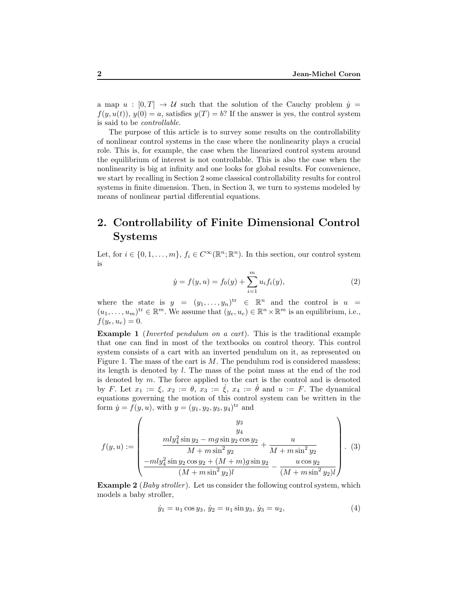a map  $u : [0, T] \rightarrow U$  such that the solution of the Cauchy problem  $\dot{y} =$  $f(y, u(t))$ ,  $y(0) = a$ , satisfies  $y(T) = b$ ? If the answer is yes, the control system is said to be controllable.

The purpose of this article is to survey some results on the controllability of nonlinear control systems in the case where the nonlinearity plays a crucial role. This is, for example, the case when the linearized control system around the equilibrium of interest is not controllable. This is also the case when the nonlinearity is big at infinity and one looks for global results. For convenience, we start by recalling in Section 2 some classical controllability results for control systems in finite dimension. Then, in Section 3, we turn to systems modeled by means of nonlinear partial differential equations.

## 2. Controllability of Finite Dimensional Control Systems

Let, for  $i \in \{0, 1, ..., m\}$ ,  $f_i \in C^{\infty}(\mathbb{R}^n; \mathbb{R}^n)$ . In this section, our control system is

$$
\dot{y} = f(y, u) = f_0(y) + \sum_{i=1}^{m} u_i f_i(y), \qquad (2)
$$

where the state is  $y = (y_1, \ldots, y_n)^{tr} \in \mathbb{R}^n$  and the control is  $u =$  $(u_1, \ldots, u_m)$ <sup>tr</sup>  $\in \mathbb{R}^m$ . We assume that  $(y_e, u_e) \in \mathbb{R}^n \times \mathbb{R}^m$  is an equilibrium, i.e.,  $f(y_e, u_e) = 0.$ 

Example 1 (Inverted pendulum on a cart). This is the traditional example that one can find in most of the textbooks on control theory. This control system consists of a cart with an inverted pendulum on it, as represented on Figure 1. The mass of the cart is  $M$ . The pendulum rod is considered massless; its length is denoted by l. The mass of the point mass at the end of the rod is denoted by m. The force applied to the cart is the control and is denoted by F. Let  $x_1 := \xi$ ,  $x_2 := \theta$ ,  $x_3 := \xi$ ,  $x_4 := \theta$  and  $u := F$ . The dynamical equations governing the motion of this control system can be written in the form  $\dot{y} = f(y, u)$ , with  $y = (y_1, y_2, y_3, y_4)$ <sup>tr</sup> and

$$
f(y, u) := \begin{pmatrix} y_3 \\ y_4 \\ \frac{mly_4^2 \sin y_2 - mg \sin y_2 \cos y_2}{M + m \sin^2 y_2} + \frac{u}{M + m \sin^2 y_2} \\ \frac{-mly_4^2 \sin y_2 \cos y_2 + (M + m)g \sin y_2}{(M + m \sin^2 y_2)l} - \frac{u \cos y_2}{(M + m \sin^2 y_2)l} \end{pmatrix} . \tag{3}
$$

**Example 2** (*Baby stroller*). Let us consider the following control system, which models a baby stroller,

$$
\dot{y}_1 = u_1 \cos y_3, \, \dot{y}_2 = u_1 \sin y_3, \, \dot{y}_3 = u_2,\tag{4}
$$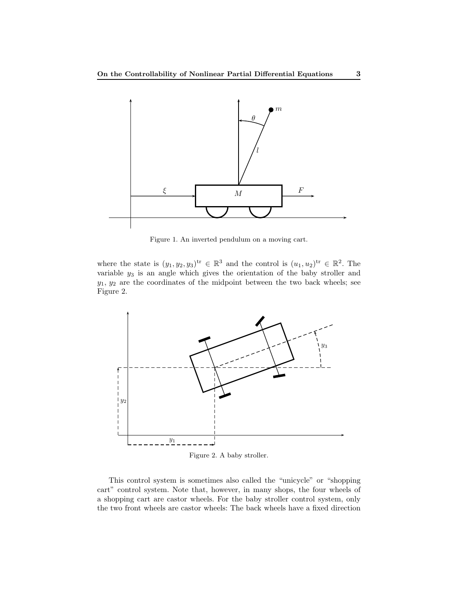

Figure 1. An inverted pendulum on a moving cart.

where the state is  $(y_1, y_2, y_3)$ <sup>tr</sup>  $\in \mathbb{R}^3$  and the control is  $(u_1, u_2)$ <sup>tr</sup>  $\in \mathbb{R}^2$ . The variable  $y_3$  is an angle which gives the orientation of the baby stroller and  $y_1, y_2$  are the coordinates of the midpoint between the two back wheels; see Figure 2.



Figure 2. A baby stroller.

This control system is sometimes also called the "unicycle" or "shopping cart" control system. Note that, however, in many shops, the four wheels of a shopping cart are castor wheels. For the baby stroller control system, only the two front wheels are castor wheels: The back wheels have a fixed direction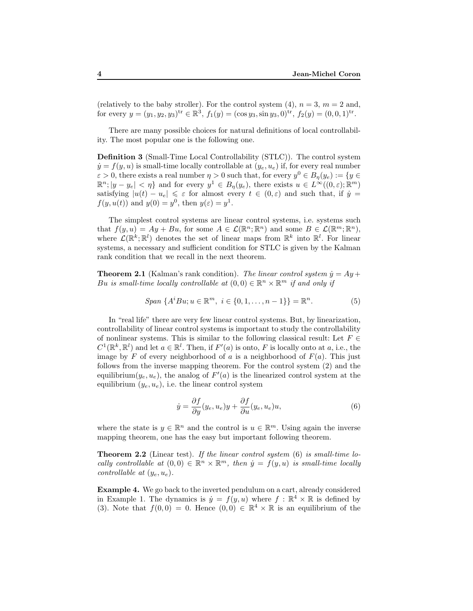(relatively to the baby stroller). For the control system  $(4)$ ,  $n = 3$ ,  $m = 2$  and, for every  $y = (y_1, y_2, y_3)^{tr} \in \mathbb{R}^3$ ,  $f_1(y) = (\cos y_3, \sin y_3, 0)^{tr}$ ,  $f_2(y) = (0, 0, 1)^{tr}$ .

There are many possible choices for natural definitions of local controllability. The most popular one is the following one.

Definition 3 (Small-Time Local Controllability (STLC)). The control system  $\dot{y} = f(y, u)$  is small-time locally controllable at  $(y_e, u_e)$  if, for every real number  $\varepsilon > 0$ , there exists a real number  $\eta > 0$  such that, for every  $y^0 \in B_{\eta}(y_e) := \{y \in$  $\mathbb{R}^n$ ;  $|y - y_e| < \eta$  and for every  $y^1 \in B_{\eta}(y_e)$ , there exists  $u \in L^{\infty}((0, \varepsilon); \mathbb{R}^m)$ satisfying  $|u(t) - u_e| \leq \varepsilon$  for almost every  $t \in (0, \varepsilon)$  and such that, if  $\dot{y} =$  $f(y, u(t))$  and  $y(0) = y<sup>0</sup>$ , then  $y(\varepsilon) = y<sup>1</sup>$ .

The simplest control systems are linear control systems, i.e. systems such that  $f(y, u) = Ay + Bu$ , for some  $A \in \mathcal{L}(\mathbb{R}^n; \mathbb{R}^n)$  and some  $B \in \mathcal{L}(\mathbb{R}^m; \mathbb{R}^n)$ , where  $\mathcal{L}(\mathbb{R}^k;\mathbb{R}^l)$  denotes the set of linear maps from  $\mathbb{R}^k$  into  $\mathbb{R}^l$ . For linear systems, a necessary and sufficient condition for STLC is given by the Kalman rank condition that we recall in the next theorem.

**Theorem 2.1** (Kalman's rank condition). The linear control system  $\dot{y} = Ay +$ Bu is small-time locally controllable at  $(0,0) \in \mathbb{R}^n \times \mathbb{R}^m$  if and only if

$$
Span\ \{A^iBu; u \in \mathbb{R}^m, \ i \in \{0, 1, \dots, n-1\}\} = \mathbb{R}^n. \tag{5}
$$

In "real life" there are very few linear control systems. But, by linearization, controllability of linear control systems is important to study the controllability of nonlinear systems. This is similar to the following classical result: Let  $F \in$  $C^1(\mathbb{R}^k, \mathbb{R}^l)$  and let  $a \in \mathbb{R}^l$ . Then, if  $F'(a)$  is onto, F is locally onto at a, i.e., the image by F of every neighborhood of a is a neighborhood of  $F(a)$ . This just follows from the inverse mapping theorem. For the control system (2) and the equilibrium $(y_e, u_e)$ , the analog of  $F'(a)$  is the linearized control system at the equilibrium  $(y_e, u_e)$ , i.e. the linear control system

$$
\dot{y} = \frac{\partial f}{\partial y}(y_e, u_e)y + \frac{\partial f}{\partial u}(y_e, u_e)u,
$$
\n(6)

where the state is  $y \in \mathbb{R}^n$  and the control is  $u \in \mathbb{R}^m$ . Using again the inverse mapping theorem, one has the easy but important following theorem.

**Theorem 2.2** (Linear test). If the linear control system  $(6)$  is small-time locally controllable at  $(0,0) \in \mathbb{R}^n \times \mathbb{R}^m$ , then  $\dot{y} = f(y, u)$  is small-time locally controllable at  $(y_e, u_e)$ .

Example 4. We go back to the inverted pendulum on a cart, already considered in Example 1. The dynamics is  $\dot{y} = f(y, u)$  where  $f : \mathbb{R}^4 \times \mathbb{R}$  is defined by (3). Note that  $f(0,0) = 0$ . Hence  $(0,0) \in \mathbb{R}^4 \times \mathbb{R}$  is an equilibrium of the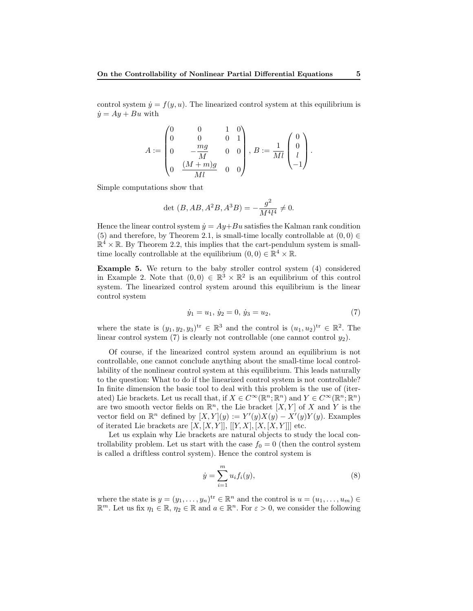control system  $\dot{y} = f(y, u)$ . The linearized control system at this equilibrium is  $\dot{y} = Ay + Bu$  with

$$
A:=\begin{pmatrix} 0 & 0 & 1 & 0 \\ 0 & 0 & 0 & 1 \\ 0 & -\frac{mg}{M} & 0 & 0 \\ 0 & \frac{(M+m)g}{Ml} & 0 & 0 \end{pmatrix}, \, B:=\frac{1}{Ml}\begin{pmatrix} 0 \\ 0 \\ l \\ -1 \end{pmatrix}.
$$

Simple computations show that

$$
\det (B, AB, A^2B, A^3B) = -\frac{g^2}{M^4 l^4} \neq 0.
$$

Hence the linear control system  $\dot{y} = Ay + Bu$  satisfies the Kalman rank condition (5) and therefore, by Theorem 2.1, is small-time locally controllable at  $(0, 0) \in$  $\mathbb{R}^4 \times \mathbb{R}$ . By Theorem 2.2, this implies that the cart-pendulum system is smalltime locally controllable at the equilibrium  $(0,0) \in \mathbb{R}^4 \times \mathbb{R}$ .

Example 5. We return to the baby stroller control system (4) considered in Example 2. Note that  $(0,0) \in \mathbb{R}^3 \times \mathbb{R}^2$  is an equilibrium of this control system. The linearized control system around this equilibrium is the linear control system

$$
\dot{y}_1 = u_1, \, \dot{y}_2 = 0, \, \dot{y}_3 = u_2,\tag{7}
$$

where the state is  $(y_1, y_2, y_3)$ <sup>tr</sup>  $\in \mathbb{R}^3$  and the control is  $(u_1, u_2)$ <sup>tr</sup>  $\in \mathbb{R}^2$ . The linear control system (7) is clearly not controllable (one cannot control  $y_2$ ).

Of course, if the linearized control system around an equilibrium is not controllable, one cannot conclude anything about the small-time local controllability of the nonlinear control system at this equilibrium. This leads naturally to the question: What to do if the linearized control system is not controllable? In finite dimension the basic tool to deal with this problem is the use of (iterated) Lie brackets. Let us recall that, if  $X \in C^{\infty}(\mathbb{R}^n;\mathbb{R}^n)$  and  $Y \in C^{\infty}(\mathbb{R}^n;\mathbb{R}^n)$ are two smooth vector fields on  $\mathbb{R}^n$ , the Lie bracket  $[X, Y]$  of X and Y is the vector field on  $\mathbb{R}^n$  defined by  $[X, Y](y) := Y'(y)X(y) - X'(y)Y(y)$ . Examples of iterated Lie brackets are  $[X, [X, Y]], [[Y, X], [X, [X, Y]]]$  etc.

Let us explain why Lie brackets are natural objects to study the local controllability problem. Let us start with the case  $f_0 = 0$  (then the control system is called a driftless control system). Hence the control system is

$$
\dot{y} = \sum_{i=1}^{m} u_i f_i(y),
$$
\n(8)

where the state is  $y = (y_1, \ldots, y_n)^{tr} \in \mathbb{R}^n$  and the control is  $u = (u_1, \ldots, u_m) \in$  $\mathbb{R}^m$ . Let us fix  $\eta_1 \in \mathbb{R}$ ,  $\eta_2 \in \mathbb{R}$  and  $a \in \mathbb{R}^n$ . For  $\varepsilon > 0$ , we consider the following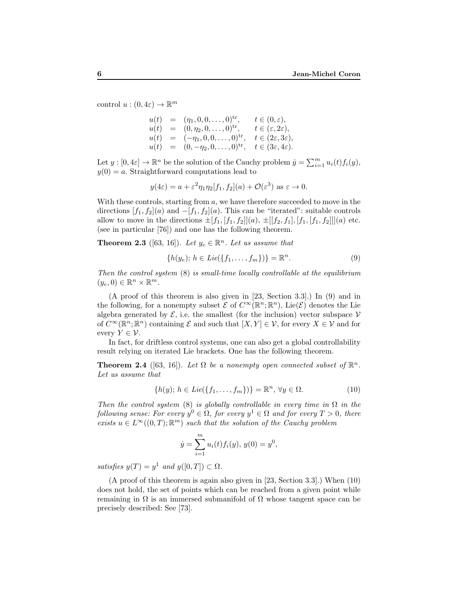control  $u:(0,4\varepsilon)\to\mathbb{R}^m$ 

$$
u(t) = (\eta_1, 0, 0, \dots, 0)^{\text{tr}}, \t t \in (0, \varepsilon),
$$
  
\n
$$
u(t) = (0, \eta_2, 0, \dots, 0)^{\text{tr}}, \t t \in (\varepsilon, 2\varepsilon),
$$
  
\n
$$
u(t) = (-\eta_1, 0, 0, \dots, 0)^{\text{tr}}, \t t \in (2\varepsilon, 3\varepsilon),
$$
  
\n
$$
u(t) = (0, -\eta_2, 0, \dots, 0)^{\text{tr}}, \t t \in (3\varepsilon, 4\varepsilon).
$$

Let  $y : [0, 4\varepsilon] \to \mathbb{R}^n$  be the solution of the Cauchy problem  $\dot{y} = \sum_{i=1}^m u_i(t) f_i(y)$ ,  $y(0) = a$ . Straightforward computations lead to

$$
y(4\varepsilon) = a + \varepsilon^2 \eta_1 \eta_2[f_1, f_2](a) + \mathcal{O}(\varepsilon^3)
$$
 as  $\varepsilon \to 0$ .

With these controls, starting from  $a$ , we have therefore succeeded to move in the directions  $[f_1, f_2](a)$  and  $-[f_1, f_2](a)$ . This can be "iterated": suitable controls allow to move in the directions  $\pm [f_1, [f_1, f_2]](a), \pm [[f_2, f_1], [f_1, [f_1, f_2]]](a)$  etc. (see in particular [76]) and one has the following theorem.

**Theorem 2.3** ([63, 16]). Let  $y_e \in \mathbb{R}^n$ . Let us assume that

$$
\{h(y_e); h \in Lie(\{f_1, \ldots, f_m\})\} = \mathbb{R}^n.
$$
 (9)

Then the control system (8) is small-time locally controllable at the equilibrium  $(y_e, 0) \in \mathbb{R}^n \times \mathbb{R}^m$ .

(A proof of this theorem is also given in [23, Section 3.3].) In (9) and in the following, for a nonempty subset  $\mathcal E$  of  $C^{\infty}(\mathbb{R}^n;\mathbb{R}^n)$ , Lie $(\mathcal E)$  denotes the Lie algebra generated by  $\mathcal{E}$ , i.e. the smallest (for the inclusion) vector subspace  $\mathcal{V}$ of  $C^{\infty}(\mathbb{R}^n;\mathbb{R}^n)$  containing  $\mathcal E$  and such that  $[X,Y] \in \mathcal V$ , for every  $X \in \mathcal V$  and for every  $Y \in \mathcal{V}$ .

In fact, for driftless control systems, one can also get a global controllability result relying on iterated Lie brackets. One has the following theorem.

**Theorem 2.4** ([63, 16]). Let  $\Omega$  be a nonempty open connected subset of  $\mathbb{R}^n$ . Let us assume that

$$
\{h(y); h \in Lie(\{f_1, \ldots, f_m\})\} = \mathbb{R}^n, \forall y \in \Omega.
$$
 (10)

Then the control system (8) is globally controllable in every time in  $\Omega$  in the following sense: For every  $y^0 \in \Omega$ , for every  $y^1 \in \Omega$  and for every  $T > 0$ , there exists  $u \in L^{\infty}((0,T);\mathbb{R}^m)$  such that the solution of the Cauchy problem

$$
\dot{y} = \sum_{i=1}^{m} u_i(t) f_i(y), \, y(0) = y^0,
$$

satisfies  $y(T) = y^1$  and  $y([0, T]) \subset \Omega$ .

(A proof of this theorem is again also given in [23, Section 3.3].) When (10) does not hold, the set of points which can be reached from a given point while remaining in  $\Omega$  is an immersed submanifold of  $\Omega$  whose tangent space can be precisely described: See [73].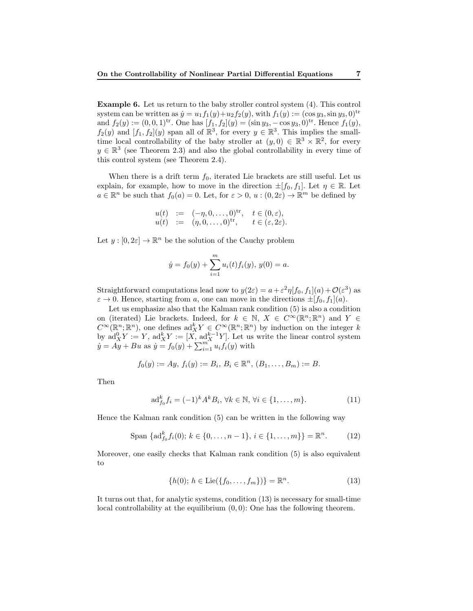Example 6. Let us return to the baby stroller control system (4). This control system can be written as  $\dot{y} = u_1 f_1(y) + u_2 f_2(y)$ , with  $f_1(y) := (\cos y_3, \sin y_3, 0)^{tr}$ and  $f_2(y) := (0, 0, 1)^{tr}$ . One has  $[f_1, f_2](y) = (\sin y_3, -\cos y_3, 0)^{tr}$ . Hence  $f_1(y)$ ,  $f_2(y)$  and  $[f_1, f_2](y)$  span all of  $\mathbb{R}^3$ , for every  $y \in \mathbb{R}^3$ . This implies the smalltime local controllability of the baby stroller at  $(y, 0) \in \mathbb{R}^3 \times \mathbb{R}^2$ , for every  $y \in \mathbb{R}^3$  (see Theorem 2.3) and also the global controllability in every time of this control system (see Theorem 2.4).

When there is a drift term  $f_0$ , iterated Lie brackets are still useful. Let us explain, for example, how to move in the direction  $\pm[f_0, f_1]$ . Let  $\eta \in \mathbb{R}$ . Let  $a \in \mathbb{R}^n$  be such that  $f_0(a) = 0$ . Let, for  $\varepsilon > 0$ ,  $u : (0, 2\varepsilon) \to \mathbb{R}^m$  be defined by

$$
u(t) := (-\eta, 0, \dots, 0)^{tr}, \quad t \in (0, \varepsilon), u(t) := (\eta, 0, \dots, 0)^{tr}, \quad t \in (\varepsilon, 2\varepsilon).
$$

Let  $y: [0, 2\varepsilon] \to \mathbb{R}^n$  be the solution of the Cauchy problem

$$
\dot{y} = f_0(y) + \sum_{i=1}^m u_i(t) f_i(y), y(0) = a.
$$

Straightforward computations lead now to  $y(2\varepsilon) = a + \varepsilon^2 \eta[f_0, f_1](a) + \mathcal{O}(\varepsilon^3)$  as  $\varepsilon \to 0$ . Hence, starting from a, one can move in the directions  $\pm [f_0, f_1](a)$ .

Let us emphasize also that the Kalman rank condition (5) is also a condition on (iterated) Lie brackets. Indeed, for  $k \in \mathbb{N}$ ,  $X \in C^{\infty}(\mathbb{R}^n;\mathbb{R}^n)$  and  $Y \in$  $C^{\infty}(\mathbb{R}^n;\mathbb{R}^n)$ , one defines  $ad_X^k Y \in C^{\infty}(\mathbb{R}^n;\mathbb{R}^n)$  by induction on the integer k by  $\mathrm{ad}_X^0 Y := Y$ ,  $\mathrm{ad}_X^k Y := [X, \mathrm{ad}_X^{k-1} Y]$ . Let us write the linear control system  $\dot{y} = Ay + Bu$  as  $\dot{y} = f_0(y) + \sum_{i=1}^{m} u_i f_i(y)$  with

$$
f_0(y) := Ay, f_i(y) := B_i, B_i \in \mathbb{R}^n, (B_1, \ldots, B_m) := B.
$$

Then

$$
\mathrm{ad}_{f_0}^k f_i = (-1)^k A^k B_i, \, \forall k \in \mathbb{N}, \, \forall i \in \{1, \dots, m\}. \tag{11}
$$

Hence the Kalman rank condition (5) can be written in the following way

Span {
$$
ad_{f_0}^k f_i(0)
$$
;  $k \in \{0, ..., n-1\}$ ,  $i \in \{1, ..., m\}$ } =  $\mathbb{R}^n$ . (12)

Moreover, one easily checks that Kalman rank condition (5) is also equivalent to

$$
\{h(0); h \in \text{Lie}(\{f_0, \ldots, f_m\})\} = \mathbb{R}^n.
$$
 (13)

It turns out that, for analytic systems, condition (13) is necessary for small-time local controllability at the equilibrium  $(0, 0)$ : One has the following theorem.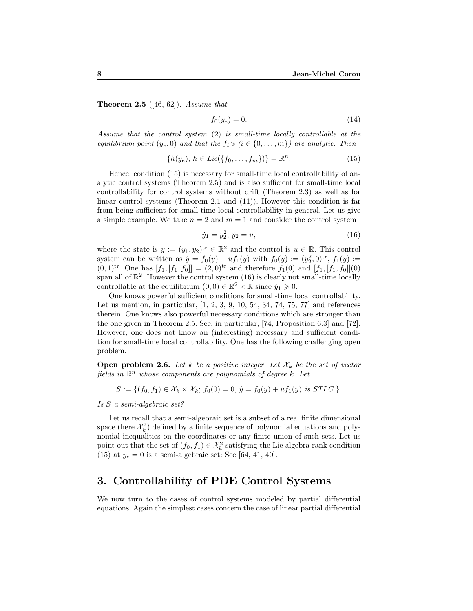**Theorem 2.5** ([46, 62]). Assume that

$$
f_0(y_e) = 0.\t\t(14)
$$

Assume that the control system (2) is small-time locally controllable at the equilibrium point  $(y_e, 0)$  and that the  $f_i$ 's  $(i \in \{0, \ldots, m\})$  are analytic. Then

$$
\{h(y_e); h \in Lie(\{f_0, \dots, f_m\})\} = \mathbb{R}^n.
$$
 (15)

Hence, condition (15) is necessary for small-time local controllability of analytic control systems (Theorem 2.5) and is also sufficient for small-time local controllability for control systems without drift (Theorem 2.3) as well as for linear control systems (Theorem 2.1 and  $(11)$ ). However this condition is far from being sufficient for small-time local controllability in general. Let us give a simple example. We take  $n = 2$  and  $m = 1$  and consider the control system

$$
\dot{y}_1 = y_2^2, \, \dot{y}_2 = u,\tag{16}
$$

where the state is  $y := (y_1, y_2)^{tr} \in \mathbb{R}^2$  and the control is  $u \in \mathbb{R}$ . This control system can be written as  $\dot{y} = f_0(y) + uf_1(y)$  with  $f_0(y) := (y_2^2, 0)^{tr}$ ,  $f_1(y) :=$  $(0,1)^{tr}$ . One has  $[f_1, [f_1, f_0]] = (2,0)^{tr}$  and therefore  $f_1(0)$  and  $[f_1, [f_1, f_0]](0)$ span all of  $\mathbb{R}^2$ . However the control system (16) is clearly not small-time locally controllable at the equilibrium  $(0,0) \in \mathbb{R}^2 \times \mathbb{R}$  since  $\dot{y}_1 \geq 0$ .

One knows powerful sufficient conditions for small-time local controllability. Let us mention, in particular, [1, 2, 3, 9, 10, 54, 34, 74, 75, 77] and references therein. One knows also powerful necessary conditions which are stronger than the one given in Theorem 2.5. See, in particular, [74, Proposition 6.3] and [72]. However, one does not know an (interesting) necessary and sufficient condition for small-time local controllability. One has the following challenging open problem.

**Open problem 2.6.** Let k be a positive integer. Let  $\mathcal{X}_k$  be the set of vector fields in  $\mathbb{R}^n$  whose components are polynomials of degree k. Let

$$
S := \{ (f_0, f_1) \in \mathcal{X}_k \times \mathcal{X}_k; f_0(0) = 0, \, \dot{y} = f_0(y) + uf_1(y) \, \text{ is } STLC \, \}.
$$

Is S a semi-algebraic set?

Let us recall that a semi-algebraic set is a subset of a real finite dimensional space (here  $\mathcal{X}_k^2$ ) defined by a finite sequence of polynomial equations and polynomial inequalities on the coordinates or any finite union of such sets. Let us point out that the set of  $(f_0, f_1) \in \mathcal{X}_k^2$  satisfying the Lie algebra rank condition (15) at  $y_e = 0$  is a semi-algebraic set: See [64, 41, 40].

## 3. Controllability of PDE Control Systems

We now turn to the cases of control systems modeled by partial differential equations. Again the simplest cases concern the case of linear partial differential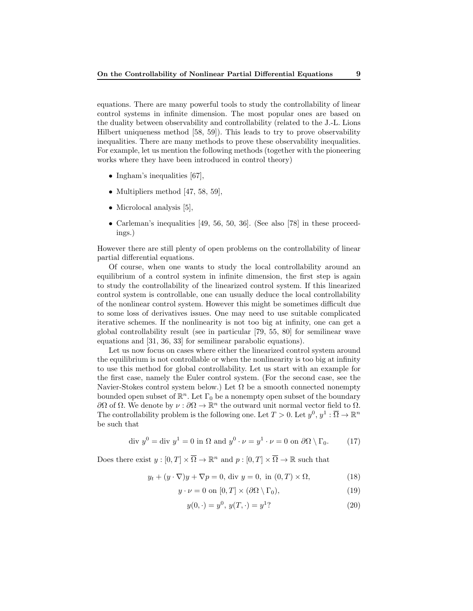equations. There are many powerful tools to study the controllability of linear control systems in infinite dimension. The most popular ones are based on the duality between observability and controllability (related to the J.-L. Lions Hilbert uniqueness method [58, 59]). This leads to try to prove observability inequalities. There are many methods to prove these observability inequalities. For example, let us mention the following methods (together with the pioneering works where they have been introduced in control theory)

- Ingham's inequalities [67],
- Multipliers method  $[47, 58, 59]$ ,
- Microlocal analysis [5],
- Carleman's inequalities [49, 56, 50, 36]. (See also [78] in these proceedings.)

However there are still plenty of open problems on the controllability of linear partial differential equations.

Of course, when one wants to study the local controllability around an equilibrium of a control system in infinite dimension, the first step is again to study the controllability of the linearized control system. If this linearized control system is controllable, one can usually deduce the local controllability of the nonlinear control system. However this might be sometimes difficult due to some loss of derivatives issues. One may need to use suitable complicated iterative schemes. If the nonlinearity is not too big at infinity, one can get a global controllability result (see in particular [79, 55, 80] for semilinear wave equations and [31, 36, 33] for semilinear parabolic equations).

Let us now focus on cases where either the linearized control system around the equilibrium is not controllable or when the nonlinearity is too big at infinity to use this method for global controllability. Let us start with an example for the first case, namely the Euler control system. (For the second case, see the Navier-Stokes control system below.) Let  $\Omega$  be a smooth connected nonempty bounded open subset of  $\mathbb{R}^n$ . Let  $\Gamma_0$  be a nonempty open subset of the boundary  $\partial\Omega$  of Ω. We denote by  $\nu : \partial\Omega \to \mathbb{R}^n$  the outward unit normal vector field to Ω. The controllability problem is the following one. Let  $T > 0$ . Let  $y^0, y^1 : \overline{\Omega} \to \mathbb{R}^n$ be such that

$$
\text{div } y^0 = \text{div } y^1 = 0 \text{ in } \Omega \text{ and } y^0 \cdot \nu = y^1 \cdot \nu = 0 \text{ on } \partial\Omega \setminus \Gamma_0. \tag{17}
$$

Does there exist  $y:[0,T]\times\overline{\Omega}\to\mathbb{R}^n$  and  $p:[0,T]\times\overline{\Omega}\to\mathbb{R}$  such that

$$
y_t + (y \cdot \nabla)y + \nabla p = 0, \text{ div } y = 0, \text{ in } (0, T) \times \Omega,
$$
 (18)

$$
y \cdot \nu = 0 \text{ on } [0, T] \times (\partial \Omega \setminus \Gamma_0), \tag{19}
$$

$$
y(0, \cdot) = y^0, \ y(T, \cdot) = y^1
$$
\n<sup>(20)</sup>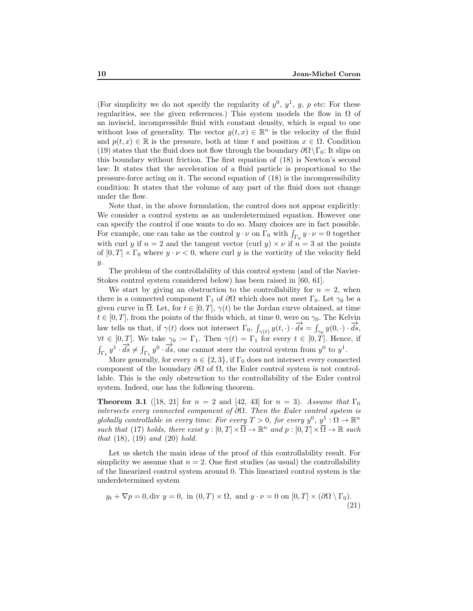(For simplicity we do not specify the regularity of  $y^0$ ,  $y^1$ ,  $y$ ,  $p$  etc: For these regularities, see the given references.) This system models the flow in  $\Omega$  of an inviscid, incompressible fluid with constant density, which is equal to one without loss of generality. The vector  $y(t, x) \in \mathbb{R}^n$  is the velocity of the fluid and  $p(t, x) \in \mathbb{R}$  is the pressure, both at time t and position  $x \in \Omega$ . Condition (19) states that the fluid does not flow through the boundary  $\partial\Omega\backslash\Gamma_0$ : It slips on this boundary without friction. The first equation of (18) is Newton's second law: It states that the acceleration of a fluid particle is proportional to the pressure-force acting on it. The second equation of (18) is the incompressibility condition: It states that the volume of any part of the fluid does not change under the flow.

Note that, in the above formulation, the control does not appear explicitly: We consider a control system as an underdetermined equation. However one can specify the control if one wants to do so. Many choices are in fact possible. For example, one can take as the control  $y \cdot \nu$  on  $\Gamma_0$  with  $\int_{\Gamma_0} y \cdot \nu = 0$  together with curl y if  $n = 2$  and the tangent vector (curl y)  $\times \nu$  if  $n = 3$  at the points of  $[0, T] \times \Gamma_0$  where  $y \cdot \nu < 0$ , where curl y is the vorticity of the velocity field y.

The problem of the controllability of this control system (and of the Navier-Stokes control system considered below) has been raised in [60, 61].

We start by giving an obstruction to the controllability for  $n = 2$ , when there is a connected component  $\Gamma_1$  of  $\partial\Omega$  which does not meet  $\Gamma_0$ . Let  $\gamma_0$  be a given curve in  $\overline{\Omega}$ . Let, for  $t \in [0, T]$ ,  $\gamma(t)$  be the Jordan curve obtained, at time  $t \in [0, T]$ , from the points of the fluids which, at time 0, were on  $\gamma_0$ . The Kelvin law tells us that, if  $\gamma(t)$  does not intersect  $\Gamma_0$ ,  $\int_{\gamma(t)} y(t, \cdot) \cdot d\vec{s} = \int_{\gamma_0} y(0, \cdot) \cdot d\vec{s}$ ,  $\forall t \in [0, T].$  We take  $\gamma_0 := \Gamma_1$ . Then  $\gamma(t) = \Gamma_1$  for every  $t \in [0, T]$ . Hence, if  $\int_{\Gamma_1} y^1 \cdot d\vec{s} \neq \int_{\Gamma_1} y^0 \cdot d\vec{s}$ , one cannot steer the control system from  $y^0$  to  $y^1$ .

More generally, for every  $n \in \{2,3\}$ , if  $\Gamma_0$  does not intersect every connected component of the boundary  $\partial\Omega$  of  $\Omega$ , the Euler control system is not controllable. This is the only obstruction to the controllability of the Euler control system. Indeed, one has the following theorem.

**Theorem 3.1** ([18, 21] for  $n = 2$  and [42, 43] for  $n = 3$ ). Assume that  $\Gamma_0$ intersects every connected component of  $\partial\Omega$ . Then the Euler control system is globally controllable in every time: For every  $T > 0$ , for every  $y^0, y^1 : \Omega \to \mathbb{R}^n$ such that (17) holds, there exist  $y:[0,T]\times\overline{\Omega}\to\mathbb{R}^n$  and  $p:[0,T]\times\overline{\Omega}\to\mathbb{R}$  such that  $(18)$ ,  $(19)$  and  $(20)$  hold.

Let us sketch the main ideas of the proof of this controllability result. For simplicity we assume that  $n = 2$ . One first studies (as usual) the controllability of the linearized control system around 0. This linearized control system is the underdetermined system

$$
y_t + \nabla p = 0, \text{div } y = 0, \text{ in } (0, T) \times \Omega, \text{ and } y \cdot \nu = 0 \text{ on } [0, T] \times (\partial \Omega \setminus \Gamma_0).
$$
\n(21)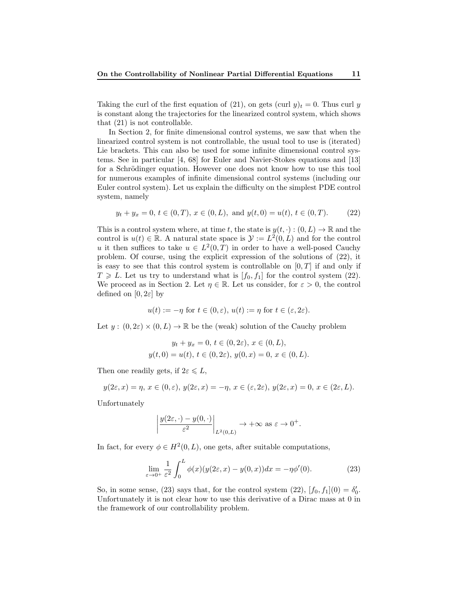Taking the curl of the first equation of (21), on gets (curl  $y)_t = 0$ . Thus curl y is constant along the trajectories for the linearized control system, which shows that (21) is not controllable.

In Section 2, for finite dimensional control systems, we saw that when the linearized control system is not controllable, the usual tool to use is (iterated) Lie brackets. This can also be used for some infinite dimensional control systems. See in particular [4, 68] for Euler and Navier-Stokes equations and [13] for a Schrödinger equation. However one does not know how to use this tool for numerous examples of infinite dimensional control systems (including our Euler control system). Let us explain the difficulty on the simplest PDE control system, namely

$$
y_t + y_x = 0, t \in (0, T), x \in (0, L), \text{ and } y(t, 0) = u(t), t \in (0, T).
$$
 (22)

This is a control system where, at time t, the state is  $y(t, \cdot) : (0, L) \to \mathbb{R}$  and the control is  $u(t) \in \mathbb{R}$ . A natural state space is  $\mathcal{Y} := L^2(0, L)$  and for the control u it then suffices to take  $u \in L^2(0,T)$  in order to have a well-posed Cauchy problem. Of course, using the explicit expression of the solutions of (22), it is easy to see that this control system is controllable on  $[0, T]$  if and only if  $T \geq L$ . Let us try to understand what is  $[f_0, f_1]$  for the control system (22). We proceed as in Section 2. Let  $\eta \in \mathbb{R}$ . Let us consider, for  $\varepsilon > 0$ , the control defined on  $[0, 2\varepsilon]$  by

$$
u(t) := -\eta \text{ for } t \in (0, \varepsilon), u(t) := \eta \text{ for } t \in (\varepsilon, 2\varepsilon).
$$

Let  $y:(0,2\varepsilon)\times(0,L)\to\mathbb{R}$  be the (weak) solution of the Cauchy problem

$$
y_t + y_x = 0, t \in (0, 2\varepsilon), x \in (0, L),
$$
  

$$
y(t, 0) = u(t), t \in (0, 2\varepsilon), y(0, x) = 0, x \in (0, L).
$$

Then one readily gets, if  $2\varepsilon \leq L$ ,

$$
y(2\varepsilon, x) = \eta, x \in (0, \varepsilon), y(2\varepsilon, x) = -\eta, x \in (\varepsilon, 2\varepsilon), y(2\varepsilon, x) = 0, x \in (2\varepsilon, L).
$$

Unfortunately

$$
\left| \frac{y(2\varepsilon, \cdot) - y(0, \cdot)}{\varepsilon^2} \right|_{L^2(0, L)} \to +\infty \text{ as } \varepsilon \to 0^+.
$$

In fact, for every  $\phi \in H^2(0,L)$ , one gets, after suitable computations,

$$
\lim_{\varepsilon \to 0^+} \frac{1}{\varepsilon^2} \int_0^L \phi(x) (y(2\varepsilon, x) - y(0, x)) dx = -\eta \phi'(0). \tag{23}
$$

So, in some sense, (23) says that, for the control system (22),  $[f_0, f_1](0) = \delta'_0$ . Unfortunately it is not clear how to use this derivative of a Dirac mass at 0 in the framework of our controllability problem.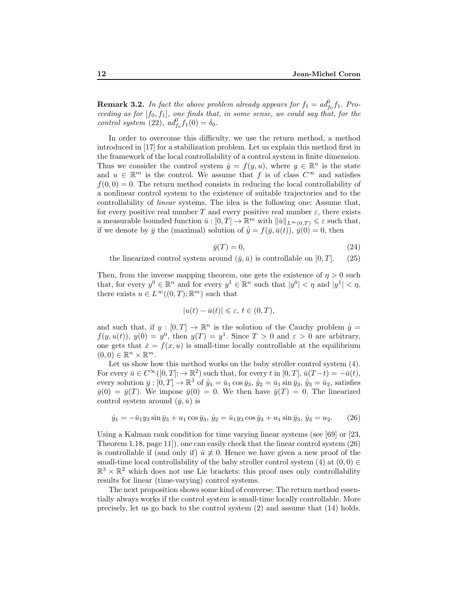**Remark 3.2.** In fact the above problem already appears for  $f_1 = ad_{f_0}^0 f_1$ . Proceeding as for  $[f_0, f_1]$ , one finds that, in some sense, we could say that, for the control system (22),  $ad_{f_0}^0 f_1(0) = \delta_0$ .

In order to overcome this difficulty, we use the return method, a method introduced in [17] for a stabilization problem. Let us explain this method first in the framework of the local controllability of a control system in finite dimension. Thus we consider the control system  $\dot{y} = f(y, u)$ , where  $y \in \mathbb{R}^n$  is the state and  $u \in \mathbb{R}^m$  is the control. We assume that f is of class  $C^{\infty}$  and satisfies  $f(0, 0) = 0$ . The return method consists in reducing the local controllability of a nonlinear control system to the existence of suitable trajectories and to the controllability of linear systems. The idea is the following one: Assume that, for every positive real number T and every positive real number  $\varepsilon$ , there exists a measurable bounded function  $\bar{u}: [0, T] \to \mathbb{R}^m$  with  $\|\bar{u}\|_{L^{\infty}(0,T)} \leq \varepsilon$  such that, if we denote by  $\bar{y}$  the (maximal) solution of  $\dot{\bar{y}} = f(\bar{y}, \bar{u}(t)), \bar{y}(0) = 0$ , then

$$
\bar{y}(T) = 0,\t\t(24)
$$

the linearized control system around  $(\bar{y}, \bar{u})$  is controllable on [0, T]. (25)

Then, from the inverse mapping theorem, one gets the existence of  $\eta > 0$  such that, for every  $y^0 \in \mathbb{R}^n$  and for every  $y^1 \in \mathbb{R}^n$  such that  $|y^0| < \eta$  and  $|y^1| < \eta$ , there exists  $u \in L^{\infty}((0,T);\mathbb{R}^m)$  such that

$$
|u(t) - \bar{u}(t)| \leq \varepsilon, t \in (0, T),
$$

and such that, if  $y : [0, T] \to \mathbb{R}^n$  is the solution of the Cauchy problem  $\dot{y} =$  $f(y, u(t)), y(0) = y^0$ , then  $y(T) = y^1$ . Since  $T > 0$  and  $\varepsilon > 0$  are arbitrary, one gets that  $\dot{x} = f(x, u)$  is small-time locally controllable at the equilibrium  $(0,0) \in \mathbb{R}^n \times \mathbb{R}^m$ .

Let us show how this method works on the baby stroller control system  $(4)$ . For every  $\bar{u} \in C^{\infty}([0,T]; \to \mathbb{R}^2)$  such that, for every t in  $[0,T]$ ,  $\bar{u}(T-t) = -\bar{u}(t)$ , every solution  $\bar{y} : [0, T] \to \mathbb{R}^3$  of  $\bar{y}_1 = \bar{u}_1 \cos \bar{y}_3$ ,  $\bar{y}_2 = \bar{u}_1 \sin \bar{y}_3$ ,  $\bar{y}_3 = \bar{u}_2$ , satisfies  $\bar{y}(0) = \bar{y}(T)$ . We impose  $\bar{y}(0) = 0$ . We then have  $\bar{y}(T) = 0$ . The linearized control system around  $(\bar{y}, \bar{u})$  is

$$
\dot{y}_1 = -\bar{u}_1 y_3 \sin \bar{y}_3 + u_1 \cos \bar{y}_3, \ \dot{y}_2 = \bar{u}_1 y_3 \cos \bar{y}_3 + u_1 \sin \bar{y}_3, \ \dot{y}_3 = u_2. \tag{26}
$$

Using a Kalman rank condition for time varying linear systems (see [69] or [23, Theorem 1.18, page 11]), one can easily check that the linear control system (26) is controllable if (and only if)  $\bar{u} \neq 0$ . Hence we have given a new proof of the small-time local controllability of the baby stroller control system (4) at  $(0,0) \in$  $\mathbb{R}^3 \times \mathbb{R}^2$  which does not use Lie brackets: this proof uses only controllability results for linear (time-varying) control systems.

The next proposition shows some kind of converse: The return method essentially always works if the control system is small-time locally controllable. More precisely, let us go back to the control system (2) and assume that (14) holds.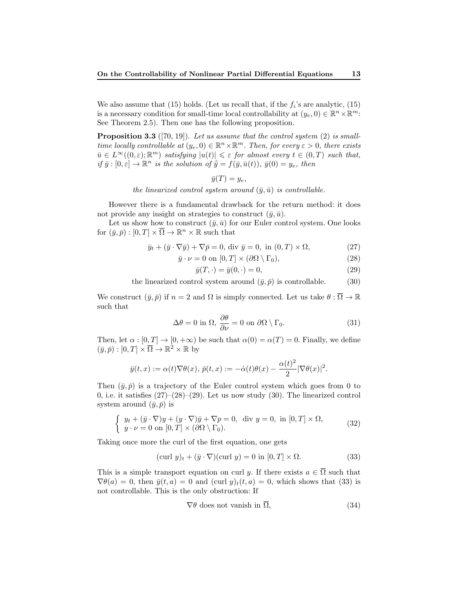We also assume that (15) holds. (Let us recall that, if the  $f_i$ 's are analytic, (15) is a necessary condition for small-time local controllability at  $(y_e, 0) \in \mathbb{R}^n \times \mathbb{R}^m$ : See Theorem 2.5). Then one has the following proposition.

**Proposition 3.3** ([70, 19]). Let us assume that the control system (2) is smalltime locally controllable at  $(y_e, 0) \in \mathbb{R}^n \times \mathbb{R}^m$ . Then, for every  $\varepsilon > 0$ , there exists  $\bar{u} \in L^{\infty}((0,\varepsilon); \mathbb{R}^m)$  satisfying  $|u(t)| \leq \varepsilon$  for almost every  $t \in (0,T)$  such that, if  $\bar{y}: [0, \varepsilon] \to \mathbb{R}^n$  is the solution of  $\bar{y} = f(\bar{y}, \bar{u}(t)), \bar{y}(0) = y_e$ , then

$$
\bar{y}(T)=y_e,
$$

the linearized control system around  $(\bar{y}, \bar{u})$  is controllable.

However there is a fundamental drawback for the return method: it does not provide any insight on strategies to construct  $(\bar{y}, \bar{u})$ .

Let us show how to construct  $(\bar{y}, \bar{u})$  for our Euler control system. One looks for  $(\bar{y}, \bar{p}) : [0, T] \times \bar{\Omega} \to \mathbb{R}^n \times \mathbb{R}$  such that

$$
\bar{y}_t + (\bar{y} \cdot \nabla \bar{y}) + \nabla \bar{p} = 0, \text{ div } \bar{y} = 0, \text{ in } (0, T) \times \Omega,
$$
\n(27)

$$
\bar{y} \cdot \nu = 0 \text{ on } [0, T] \times (\partial \Omega \setminus \Gamma_0), \tag{28}
$$

$$
\bar{y}(T, \cdot) = \bar{y}(0, \cdot) = 0,\tag{29}
$$

the linearized control system around  $(\bar{y}, \bar{p})$  is controllable. (30)

We construct  $(\bar{y}, \bar{p})$  if  $n = 2$  and  $\Omega$  is simply connected. Let us take  $\theta : \overline{\Omega} \to \mathbb{R}$ such that

$$
\Delta\theta = 0 \text{ in } \Omega, \frac{\partial\theta}{\partial\nu} = 0 \text{ on } \partial\Omega \setminus \Gamma_0. \tag{31}
$$

Then, let  $\alpha : [0, T] \to [0, +\infty)$  be such that  $\alpha(0) = \alpha(T) = 0$ . Finally, we define  $(\bar{y}, \bar{p}) : [0, T] \times \overline{\Omega} \to \mathbb{R}^2 \times \mathbb{R}$  by

$$
\bar{y}(t,x) := \alpha(t)\nabla\theta(x), \, \bar{p}(t,x) := -\dot{\alpha}(t)\theta(x) - \frac{\alpha(t)^2}{2}|\nabla\theta(x)|^2.
$$

Then  $(\bar{y}, \bar{p})$  is a trajectory of the Euler control system which goes from 0 to 0, i.e. it satisfies  $(27)–(28)–(29)$ . Let us now study  $(30)$ . The linearized control system around  $(\bar{y}, \bar{p})$  is

$$
\begin{cases} y_t + (\bar{y} \cdot \nabla)y + (y \cdot \nabla)\bar{y} + \nabla p = 0, \text{ div } y = 0, \text{ in } [0, T] \times \Omega, \\ y \cdot \nu = 0 \text{ on } [0, T] \times (\partial \Omega \setminus \Gamma_0). \end{cases}
$$
(32)

Taking once more the curl of the first equation, one gets

$$
(\text{curl } y)_t + (\bar{y} \cdot \nabla)(\text{curl } y) = 0 \text{ in } [0, T] \times \Omega. \tag{33}
$$

This is a simple transport equation on curl y. If there exists  $a \in \overline{\Omega}$  such that  $\nabla \theta(a) = 0$ , then  $\bar{y}(t, a) = 0$  and  $(\text{curl } y)_t(t, a) = 0$ , which shows that (33) is not controllable. This is the only obstruction: If

$$
\nabla \theta \text{ does not vanish in } \overline{\Omega}, \tag{34}
$$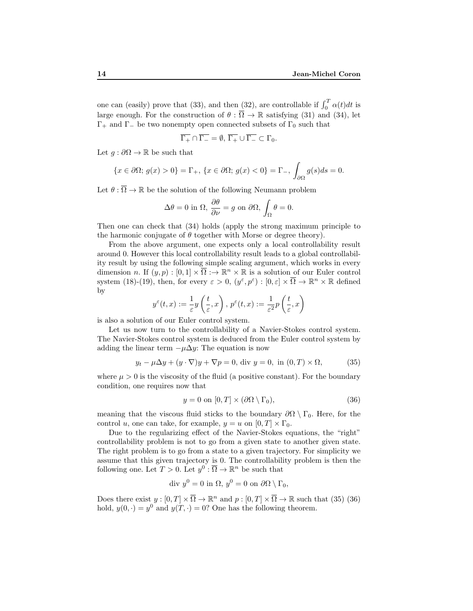one can (easily) prove that (33), and then (32), are controllable if  $\int_0^T \alpha(t)dt$  is large enough. For the construction of  $\theta : \overline{\Omega} \to \mathbb{R}$  satisfying (31) and (34), let  $\Gamma_+$  and  $\Gamma_-$  be two nonempty open connected subsets of  $\Gamma_0$  such that

$$
\overline{\Gamma_+} \cap \overline{\Gamma_-} = \emptyset, \ \overline{\Gamma_+} \cup \overline{\Gamma_-} \subset \Gamma_0.
$$

Let  $g : \partial \Omega \to \mathbb{R}$  be such that

$$
\{x \in \partial\Omega; \, g(x) > 0\} = \Gamma_+, \, \{x \in \partial\Omega; \, g(x) < 0\} = \Gamma_-, \, \int_{\partial\Omega} g(s)ds = 0.
$$

Let  $\theta : \overline{\Omega} \to \mathbb{R}$  be the solution of the following Neumann problem

$$
\Delta \theta = 0 \text{ in } \Omega, \frac{\partial \theta}{\partial \nu} = g \text{ on } \partial \Omega, \int_{\Omega} \theta = 0.
$$

Then one can check that (34) holds (apply the strong maximum principle to the harmonic conjugate of  $\theta$  together with Morse or degree theory).

From the above argument, one expects only a local controllability result around 0. However this local controllability result leads to a global controllability result by using the following simple scaling argument, which works in every dimension n. If  $(y, p) : [0, 1] \times \overline{\Omega} \longrightarrow \mathbb{R}^n \times \mathbb{R}$  is a solution of our Euler control system (18)-(19), then, for every  $\varepsilon > 0$ ,  $(y^{\varepsilon}, p^{\varepsilon}) : [0, \varepsilon] \times \overline{\Omega} \to \mathbb{R}^n \times \mathbb{R}$  defined by

$$
y^{\varepsilon}(t,x) := \frac{1}{\varepsilon} y\left(\frac{t}{\varepsilon},x\right),\ p^{\varepsilon}(t,x) := \frac{1}{\varepsilon^2} p\left(\frac{t}{\varepsilon},x\right).
$$

is also a solution of our Euler control system.

Let us now turn to the controllability of a Navier-Stokes control system. The Navier-Stokes control system is deduced from the Euler control system by adding the linear term  $-\mu\Delta y$ : The equation is now

$$
y_t - \mu \Delta y + (y \cdot \nabla)y + \nabla p = 0, \text{ div } y = 0, \text{ in } (0, T) \times \Omega,
$$
 (35)

where  $\mu > 0$  is the viscosity of the fluid (a positive constant). For the boundary condition, one requires now that

$$
y = 0 \text{ on } [0, T] \times (\partial \Omega \setminus \Gamma_0), \tag{36}
$$

meaning that the viscous fluid sticks to the boundary  $\partial\Omega \setminus \Gamma_0$ . Here, for the control u, one can take, for example,  $y = u$  on  $[0, T] \times \Gamma_0$ .

Due to the regularizing effect of the Navier-Stokes equations, the "right" controllability problem is not to go from a given state to another given state. The right problem is to go from a state to a given trajectory. For simplicity we assume that this given trajectory is 0. The controllability problem is then the following one. Let  $T > 0$ . Let  $y^0 : \overline{\Omega} \to \mathbb{R}^n$  be such that

$$
\text{div } y^0 = 0 \text{ in } \Omega, \, y^0 = 0 \text{ on } \partial\Omega \setminus \Gamma_0,
$$

Does there exist  $y:[0,T]\times\overline{\Omega}\to\mathbb{R}^n$  and  $p:[0,T]\times\overline{\Omega}\to\mathbb{R}$  such that (35) (36) hold,  $y(0, \cdot) = y^0$  and  $y(T, \cdot) = 0$ ? One has the following theorem.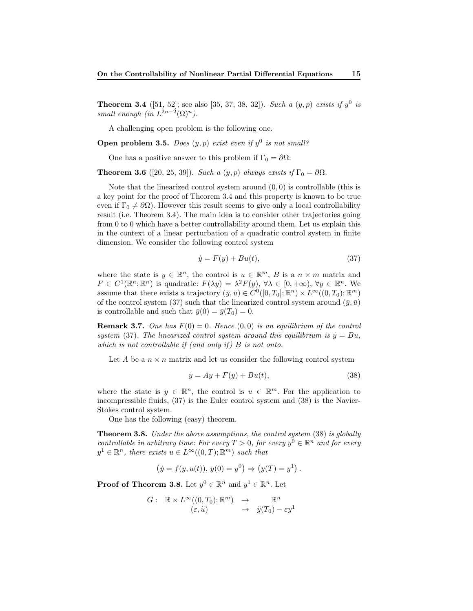**Theorem 3.4** ([51, 52]; see also [35, 37, 38, 32]). Such a  $(y, p)$  exists if  $y^0$  is small enough (in  $L^{2n-2}(\Omega)^n$ ).

A challenging open problem is the following one.

**Open problem 3.5.** Does  $(y, p)$  exist even if  $y^0$  is not small?

One has a positive answer to this problem if  $\Gamma_0 = \partial \Omega$ :

**Theorem 3.6** ([20, 25, 39]). Such a  $(y, p)$  always exists if  $\Gamma_0 = \partial \Omega$ .

Note that the linearized control system around  $(0, 0)$  is controllable (this is a key point for the proof of Theorem 3.4 and this property is known to be true even if  $\Gamma_0 \neq \partial \Omega$ ). However this result seems to give only a local controllability result (i.e. Theorem 3.4). The main idea is to consider other trajectories going from 0 to 0 which have a better controllability around them. Let us explain this in the context of a linear perturbation of a quadratic control system in finite dimension. We consider the following control system

$$
\dot{y} = F(y) + Bu(t),\tag{37}
$$

where the state is  $y \in \mathbb{R}^n$ , the control is  $u \in \mathbb{R}^m$ , B is a  $n \times m$  matrix and  $F \in C^1(\mathbb{R}^n;\mathbb{R}^n)$  is quadratic:  $F(\lambda y) = \lambda^2 F(y), \forall \lambda \in [0,+\infty), \forall y \in \mathbb{R}^n$ . We assume that there exists a trajectory  $(\bar{y}, \bar{u}) \in C^0([0, T_0]; \mathbb{R}^n) \times L^{\infty}((0, T_0); \mathbb{R}^m)$ of the control system (37) such that the linearized control system around  $(\bar{y}, \bar{u})$ is controllable and such that  $\bar{y}(0) = \bar{y}(T_0) = 0$ .

**Remark 3.7.** One has  $F(0) = 0$ . Hence  $(0, 0)$  is an equilibrium of the control system (37). The linearized control system around this equilibrium is  $\dot{y} = Bu$ , which is not controllable if (and only if)  $B$  is not onto.

Let A be a  $n \times n$  matrix and let us consider the following control system

$$
\dot{y} = Ay + F(y) + Bu(t),\tag{38}
$$

where the state is  $y \in \mathbb{R}^n$ , the control is  $u \in \mathbb{R}^m$ . For the application to incompressible fluids, (37) is the Euler control system and (38) is the Navier-Stokes control system.

One has the following (easy) theorem.

Theorem 3.8. Under the above assumptions, the control system (38) is globally controllable in arbitrary time: For every  $T > 0$ , for every  $y^0 \in \mathbb{R}^n$  and for every  $y^1 \in \mathbb{R}^n$ , there exists  $u \in L^{\infty}((0,T);\mathbb{R}^m)$  such that

$$
(\dot{y} = f(y, u(t)), y(0) = y^0) \Rightarrow (y(T) = y^1).
$$

**Proof of Theorem 3.8.** Let  $y^0 \in \mathbb{R}^n$  and  $y^1 \in \mathbb{R}^n$ . Let

$$
G: \mathbb{R} \times L^{\infty}((0,T_0); \mathbb{R}^m) \rightarrow \mathbb{R}^n
$$
  

$$
(\varepsilon, \tilde{u}) \rightarrow \tilde{y}(T_0) - \varepsilon y^1
$$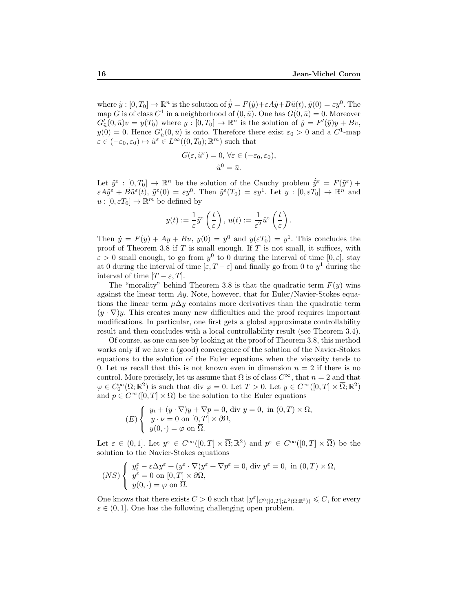where  $\tilde{y} : [0, T_0] \to \mathbb{R}^n$  is the solution of  $\dot{\tilde{y}} = F(\tilde{y}) + \varepsilon A \tilde{y} + B \tilde{u}(t), \tilde{y}(0) = \varepsilon y^0$ . The map G is of class  $C^1$  in a neighborhood of  $(0, \bar{u})$ . One has  $G(0, \bar{u}) = 0$ . Moreover  $G'_{\tilde{u}}(0, \bar{u})v = y(T_0)$  where  $y : [0, T_0] \to \mathbb{R}^n$  is the solution of  $\dot{y} = F'(\bar{y})y + Bv$ ,  $y(0) = 0$ . Hence  $G'_{\tilde{u}}(0, \bar{u})$  is onto. Therefore there exist  $\varepsilon_0 > 0$  and a  $C^1$ -map  $\varepsilon \in (-\varepsilon_0, \varepsilon_0) \mapsto \tilde{u}^{\varepsilon} \in L^{\infty}((0, T_0); \mathbb{R}^m)$  such that

$$
G(\varepsilon, \tilde{u}^{\varepsilon}) = 0, \forall \varepsilon \in (-\varepsilon_0, \varepsilon_0),
$$
  

$$
\tilde{u}^0 = \bar{u}.
$$

Let  $\tilde{y}^{\varepsilon} : [0, T_0] \to \mathbb{R}^n$  be the solution of the Cauchy problem  $\dot{\tilde{y}}^{\varepsilon} = F(\tilde{y}^{\varepsilon}) +$  $\varepsilon A\tilde{y}^{\varepsilon} + B\tilde{u}^{\varepsilon}(t), \; \tilde{y}^{\varepsilon}(0) = \varepsilon y^{0}.$  Then  $\tilde{y}^{\varepsilon}(T_{0}) = \varepsilon y^{1}.$  Let  $y : [0, \varepsilon T_{0}] \to \mathbb{R}^{n}$  and  $u:[0,\varepsilon T_0]\to\mathbb{R}^m$  be defined by

$$
y(t) := \frac{1}{\varepsilon} \tilde{y}^{\varepsilon} \left( \frac{t}{\varepsilon} \right), \, u(t) := \frac{1}{\varepsilon^2} \tilde{u}^{\varepsilon} \left( \frac{t}{\varepsilon} \right).
$$

Then  $\dot{y} = F(y) + Ay + Bu$ ,  $y(0) = y^0$  and  $y(\varepsilon T_0) = y^1$ . This concludes the proof of Theorem 3.8 if  $T$  is small enough. If  $T$  is not small, it suffices, with  $\varepsilon > 0$  small enough, to go from  $y^0$  to 0 during the interval of time  $[0, \varepsilon]$ , stay at 0 during the interval of time  $[\varepsilon, T - \varepsilon]$  and finally go from 0 to  $y^1$  during the interval of time  $[T - \varepsilon, T]$ .

The "morality" behind Theorem 3.8 is that the quadratic term  $F(y)$  wins against the linear term  $Ay$ . Note, however, that for Euler/Navier-Stokes equations the linear term  $\mu \Delta y$  contains more derivatives than the quadratic term  $(y \cdot \nabla)y$ . This creates many new difficulties and the proof requires important modifications. In particular, one first gets a global approximate controllability result and then concludes with a local controllability result (see Theorem 3.4).

Of course, as one can see by looking at the proof of Theorem 3.8, this method works only if we have a (good) convergence of the solution of the Navier-Stokes equations to the solution of the Euler equations when the viscosity tends to 0. Let us recall that this is not known even in dimension  $n = 2$  if there is no control. More precisely, let us assume that  $\Omega$  is of class  $C^{\infty}$ , that  $n = 2$  and that  $\varphi \in C_0^{\infty}(\Omega; \mathbb{R}^2)$  is such that div  $\varphi = 0$ . Let  $T > 0$ . Let  $y \in C^{\infty}([0, T] \times \overline{\Omega}; \mathbb{R}^2)$ and  $p \in C^{\infty}([0, T] \times \overline{\Omega})$  be the solution to the Euler equations

$$
(E)\begin{cases} y_t + (y \cdot \nabla)y + \nabla p = 0, \text{ div } y = 0, \text{ in } (0, T) \times \Omega, \\ y \cdot \nu = 0 \text{ on } [0, T] \times \partial\Omega, \\ y(0, \cdot) = \varphi \text{ on } \overline{\Omega}. \end{cases}
$$

Let  $\varepsilon \in (0,1]$ . Let  $y^{\varepsilon} \in C^{\infty}([0,T] \times \overline{\Omega}; \mathbb{R}^{2})$  and  $p^{\varepsilon} \in C^{\infty}([0,T] \times \overline{\Omega})$  be the solution to the Navier-Stokes equations

$$
(NS)\begin{cases} y_t^{\varepsilon} - \varepsilon \Delta y^{\varepsilon} + (y^{\varepsilon} \cdot \nabla)y^{\varepsilon} + \nabla p^{\varepsilon} = 0, \text{ div } y^{\varepsilon} = 0, \text{ in } (0, T) \times \Omega, \\ y^{\varepsilon} = 0 \text{ on } [0, T] \times \partial \Omega, \\ y(0, \cdot) = \varphi \text{ on } \overline{\Omega}. \end{cases}
$$

One knows that there exists  $C > 0$  such that  $|y^{\varepsilon}|_{C^{0}([0,T];L^{2}(\Omega;\mathbb{R}^{2}))} \leq C$ , for every  $\varepsilon \in (0, 1]$ . One has the following challenging open problem.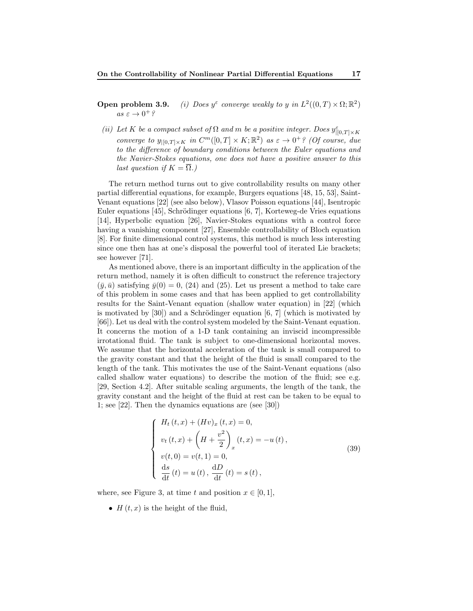Open problem 3.9.  $\epsilon$  converge weakly to y in  $L^2((0,T)\times\Omega;\mathbb{R}^2)$  $as \varepsilon \to 0^+$ ?

(ii) Let K be a compact subset of  $\Omega$  and m be a positive integer. Does  $y_{|[0,T]\times K}^{\varepsilon}$ converge to  $y_{|[0,T]\times K}$  in  $C^m([0,T]\times K; \mathbb{R}^2)$  as  $\varepsilon \to 0^+$ ? (Of course, due to the difference of boundary conditions between the Euler equations and the Navier-Stokes equations, one does not have a positive answer to this last question if  $K = \Omega$ .)

The return method turns out to give controllability results on many other partial differential equations, for example, Burgers equations [48, 15, 53], Saint-Venant equations [22] (see also below), Vlasov Poisson equations [44], Isentropic Euler equations  $[45]$ , Schrödinger equations  $[6, 7]$ , Korteweg-de Vries equations [14], Hyperbolic equation [26], Navier-Stokes equations with a control force having a vanishing component [27], Ensemble controllability of Bloch equation [8]. For finite dimensional control systems, this method is much less interesting since one then has at one's disposal the powerful tool of iterated Lie brackets; see however [71].

As mentioned above, there is an important difficulty in the application of the return method, namely it is often difficult to construct the reference trajectory  $(\bar{y}, \bar{u})$  satisfying  $\bar{y}(0) = 0$ , (24) and (25). Let us present a method to take care of this problem in some cases and that has been applied to get controllability results for the Saint-Venant equation (shallow water equation) in [22] (which is motivated by  $[30]$  and a Schrödinger equation  $[6, 7]$  (which is motivated by [66]). Let us deal with the control system modeled by the Saint-Venant equation. It concerns the motion of a 1-D tank containing an inviscid incompressible irrotational fluid. The tank is subject to one-dimensional horizontal moves. We assume that the horizontal acceleration of the tank is small compared to the gravity constant and that the height of the fluid is small compared to the length of the tank. This motivates the use of the Saint-Venant equations (also called shallow water equations) to describe the motion of the fluid; see e.g. [29, Section 4.2]. After suitable scaling arguments, the length of the tank, the gravity constant and the height of the fluid at rest can be taken to be equal to 1; see [22]. Then the dynamics equations are (see [30])

$$
\begin{cases}\nH_t(t,x) + (Hv)_x(t,x) = 0, \\
v_t(t,x) + \left(H + \frac{v^2}{2}\right)_x(t,x) = -u(t), \\
v(t,0) = v(t,1) = 0, \\
\frac{ds}{dt}(t) = u(t), \frac{dD}{dt}(t) = s(t),\n\end{cases}
$$
\n(39)

where, see Figure 3, at time t and position  $x \in [0, 1]$ ,

•  $H(t, x)$  is the height of the fluid,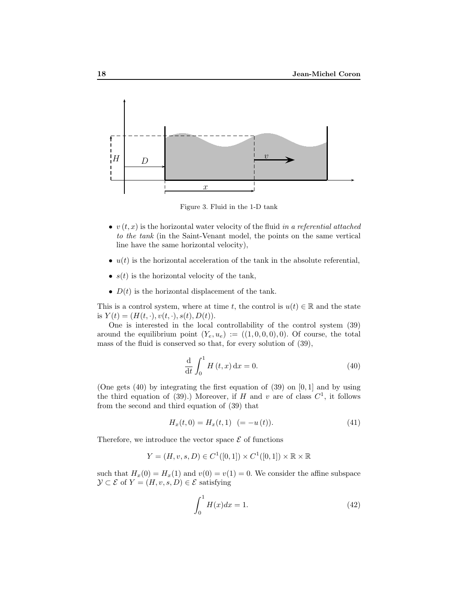

Figure 3. Fluid in the 1-D tank

- $v(t, x)$  is the horizontal water velocity of the fluid in a referential attached to the tank (in the Saint-Venant model, the points on the same vertical line have the same horizontal velocity),
- $u(t)$  is the horizontal acceleration of the tank in the absolute referential,
- $s(t)$  is the horizontal velocity of the tank,
- $D(t)$  is the horizontal displacement of the tank.

This is a control system, where at time t, the control is  $u(t) \in \mathbb{R}$  and the state is  $Y(t) = (H(t, \cdot), v(t, \cdot), s(t), D(t)).$ 

One is interested in the local controllability of the control system (39) around the equilibrium point  $(Y_e, u_e) := ((1, 0, 0, 0), 0)$ . Of course, the total mass of the fluid is conserved so that, for every solution of (39),

$$
\frac{\mathrm{d}}{\mathrm{d}t} \int_0^1 H(t, x) \, \mathrm{d}x = 0. \tag{40}
$$

(One gets  $(40)$  by integrating the first equation of  $(39)$  on  $[0, 1]$  and by using the third equation of (39).) Moreover, if H and v are of class  $C^1$ , it follows from the second and third equation of (39) that

$$
H_x(t,0) = H_x(t,1) \ \ (= -u(t)). \tag{41}
$$

Therefore, we introduce the vector space  $\mathcal E$  of functions

$$
Y = (H, v, s, D) \in C^1([0, 1]) \times C^1([0, 1]) \times \mathbb{R} \times \mathbb{R}
$$

such that  $H_x(0) = H_x(1)$  and  $v(0) = v(1) = 0$ . We consider the affine subspace  $\mathcal{Y} \subset \mathcal{E}$  of  $Y = (H, v, s, D) \in \mathcal{E}$  satisfying

$$
\int_{0}^{1} H(x)dx = 1.
$$
 (42)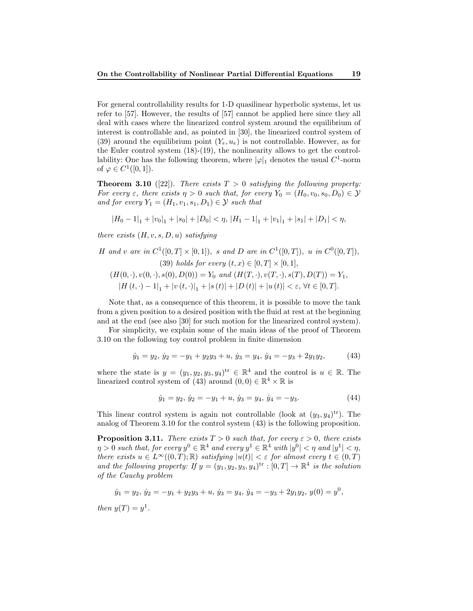For general controllability results for 1-D quasilinear hyperbolic systems, let us refer to [57]. However, the results of [57] cannot be applied here since they all deal with cases where the linearized control system around the equilibrium of interest is controllable and, as pointed in [30], the linearized control system of (39) around the equilibrium point  $(Y_e, u_e)$  is not controllable. However, as for the Euler control system (18)-(19), the nonlinearity allows to get the controllability: One has the following theorem, where  $|\varphi|_1$  denotes the usual  $C^1$ -norm of  $\varphi \in C^1([0,1]).$ 

**Theorem 3.10** ([22]). There exists  $T > 0$  satisfying the following property: For every  $\varepsilon$ , there exists  $\eta > 0$  such that, for every  $Y_0 = (H_0, v_0, s_0, D_0) \in \mathcal{Y}$ and for every  $Y_1 = (H_1, v_1, s_1, D_1) \in \mathcal{Y}$  such that

$$
|H_0-1|_1+|v_0|_1+|s_0|+|D_0|<\eta,\,|H_1-1|_1+|v_1|_1+|s_1|+|D_1|<\eta,
$$

there exists  $(H, v, s, D, u)$  satisfying

*H* and *v* are in 
$$
C^1([0, T] \times [0, 1])
$$
, *s* and *D* are in  $C^1([0, T])$ , *u* in  $C^0([0, T])$ ,  
(39) holds for every  $(t, x) \in [0, T] \times [0, 1]$ ,

$$
(H(0,\cdot), v(0,\cdot), s(0), D(0)) = Y_0 \text{ and } (H(T,\cdot), v(T,\cdot), s(T), D(T)) = Y_1,
$$
  

$$
|H(t,\cdot) - 1|_1 + |v(t,\cdot)|_1 + |s(t)| + |D(t)| + |u(t)| < \varepsilon, \forall t \in [0,T].
$$

Note that, as a consequence of this theorem, it is possible to move the tank from a given position to a desired position with the fluid at rest at the beginning and at the end (see also [30] for such motion for the linearized control system).

For simplicity, we explain some of the main ideas of the proof of Theorem 3.10 on the following toy control problem in finite dimension

$$
\dot{y}_1 = y_2, \, \dot{y}_2 = -y_1 + y_2 y_3 + u, \, \dot{y}_3 = y_4, \, \dot{y}_4 = -y_3 + 2y_1 y_2,\tag{43}
$$

where the state is  $y = (y_1, y_2, y_3, y_4)^{tr} \in \mathbb{R}^4$  and the control is  $u \in \mathbb{R}$ . The linearized control system of (43) around  $(0,0) \in \mathbb{R}^4 \times \mathbb{R}$  is

$$
\dot{y}_1 = y_2, \, \dot{y}_2 = -y_1 + u, \, \dot{y}_3 = y_4, \, \dot{y}_4 = -y_3. \tag{44}
$$

This linear control system is again not controllable (look at  $(y_3, y_4)$ <sup>tr</sup>). The analog of Theorem 3.10 for the control system (43) is the following proposition.

**Proposition 3.11.** There exists  $T > 0$  such that, for every  $\varepsilon > 0$ , there exists  $\eta > 0$  such that, for every  $y^0 \in \mathbb{R}^4$  and every  $y^1 \in \mathbb{R}^4$  with  $|y^0| < \eta$  and  $|y^1| < \eta$ , there exists  $u \in L^{\infty}((0,T);\mathbb{R})$  satisfying  $|u(t)| < \varepsilon$  for almost every  $t \in (0,T)$ and the following property: If  $y = (y_1, y_2, y_3, y_4)^{tr} : [0, T] \to \mathbb{R}^4$  is the solution of the Cauchy problem

$$
\dot{y}_1 = y_2, \, \dot{y}_2 = -y_1 + y_2y_3 + u, \, \dot{y}_3 = y_4, \, \dot{y}_4 = -y_3 + 2y_1y_2, \, y(0) = y^0,
$$

then  $y(T) = y^1$ .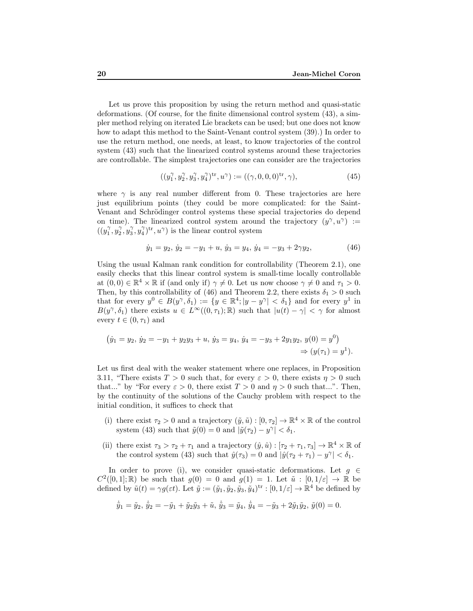Let us prove this proposition by using the return method and quasi-static deformations. (Of course, for the finite dimensional control system (43), a simpler method relying on iterated Lie brackets can be used; but one does not know how to adapt this method to the Saint-Venant control system (39).) In order to use the return method, one needs, at least, to know trajectories of the control system (43) such that the linearized control systems around these trajectories are controllable. The simplest trajectories one can consider are the trajectories

$$
((y_1^{\gamma}, y_2^{\gamma}, y_3^{\gamma}, y_4^{\gamma})^{\text{tr}}, u^{\gamma}) := ((\gamma, 0, 0, 0)^{\text{tr}}, \gamma), \tag{45}
$$

where  $\gamma$  is any real number different from 0. These trajectories are here just equilibrium points (they could be more complicated: for the Saint-Venant and Schrödinger control systems these special trajectories do depend on time). The linearized control system around the trajectory  $(y^{\gamma}, u^{\gamma})$  :=  $((y_1^{\gamma}, y_2^{\gamma}, y_3^{\gamma}, y_4^{\gamma})^{\text{tr}}, u^{\gamma})$  is the linear control system

$$
\dot{y}_1 = y_2, \, \dot{y}_2 = -y_1 + u, \, \dot{y}_3 = y_4, \, \dot{y}_4 = -y_3 + 2\gamma y_2,\tag{46}
$$

Using the usual Kalman rank condition for controllability (Theorem 2.1), one easily checks that this linear control system is small-time locally controllable at  $(0,0) \in \mathbb{R}^4 \times \mathbb{R}$  if (and only if)  $\gamma \neq 0$ . Let us now choose  $\gamma \neq 0$  and  $\tau_1 > 0$ . Then, by this controllability of (46) and Theorem 2.2, there exists  $\delta_1 > 0$  such that for every  $y^0 \in B(y^{\gamma}, \delta_1) := \{y \in \mathbb{R}^4; |y - y^{\gamma}| < \delta_1\}$  and for every  $y^1$  in  $B(y^{\gamma}, \delta_1)$  there exists  $u \in L^{\infty}((0, \tau_1); \mathbb{R})$  such that  $|u(t) - \gamma| < \gamma$  for almost every  $t \in (0, \tau_1)$  and

$$
(\dot{y}_1 = y_2, \dot{y}_2 = -y_1 + y_2y_3 + u, \dot{y}_3 = y_4, \dot{y}_4 = -y_3 + 2y_1y_2, y(0) = y^0)
$$
  
 $\Rightarrow (y(\tau_1) = y^1).$ 

Let us first deal with the weaker statement where one replaces, in Proposition 3.11, "There exists  $T > 0$  such that, for every  $\varepsilon > 0$ , there exists  $\eta > 0$  such that..." by "For every  $\varepsilon > 0$ , there exist  $T > 0$  and  $\eta > 0$  such that...". Then, by the continuity of the solutions of the Cauchy problem with respect to the initial condition, it suffices to check that

- (i) there exist  $\tau_2 > 0$  and a trajectory  $(\tilde{y}, \tilde{u}) : [0, \tau_2] \to \mathbb{R}^4 \times \mathbb{R}$  of the control system (43) such that  $\tilde{y}(0) = 0$  and  $|\tilde{y}(\tau_2) - y^{\gamma}| < \delta_1$ .
- (ii) there exist  $\tau_3 > \tau_2 + \tau_1$  and a trajectory  $(\hat{y}, \hat{u}) : [\tau_2 + \tau_1, \tau_3] \to \mathbb{R}^4 \times \mathbb{R}$  of the control system (43) such that  $\hat{y}(\tau_3) = 0$  and  $|\hat{y}(\tau_2 + \tau_1) - y^{\gamma}| < \delta_1$ .

In order to prove (i), we consider quasi-static deformations. Let  $g \in$  $C^2([0,1];\mathbb{R})$  be such that  $g(0) = 0$  and  $g(1) = 1$ . Let  $\tilde{u} : [0,1/\varepsilon] \to \mathbb{R}$  be defined by  $\tilde{u}(t) = \gamma g(\varepsilon t)$ . Let  $\tilde{y} := (\tilde{y}_1, \tilde{y}_2, \tilde{y}_3, \tilde{y}_4)^{\text{tr}} : [0, 1/\varepsilon] \to \mathbb{R}^4$  be defined by

$$
\dot{\tilde{y}}_1 = \tilde{y}_2, \, \dot{\tilde{y}}_2 = -\tilde{y}_1 + \tilde{y}_2 \tilde{y}_3 + \tilde{u}, \, \dot{\tilde{y}}_3 = \tilde{y}_4, \, \dot{\tilde{y}}_4 = -\tilde{y}_3 + 2\tilde{y}_1 \tilde{y}_2, \, \tilde{y}(0) = 0.
$$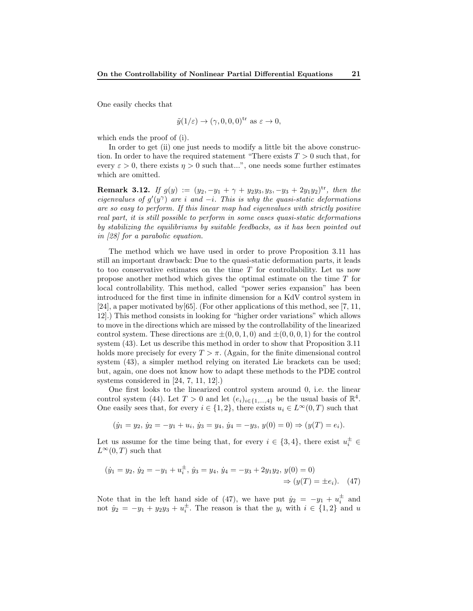One easily checks that

$$
\tilde{y}(1/\varepsilon) \to (\gamma, 0, 0, 0)^{tr}
$$
 as  $\varepsilon \to 0$ ,

which ends the proof of (i).

In order to get (ii) one just needs to modify a little bit the above construction. In order to have the required statement "There exists  $T > 0$  such that, for every  $\varepsilon > 0$ , there exists  $\eta > 0$  such that...", one needs some further estimates which are omitted.

**Remark 3.12.** If  $g(y) := (y_2, -y_1 + \gamma + y_2y_3, y_3, -y_3 + 2y_1y_2)^{tr}$ , then the eigenvalues of  $g'(y^{\gamma})$  are i and  $-i$ . This is why the quasi-static deformations are so easy to perform. If this linear map had eigenvalues with strictly positive real part, it is still possible to perform in some cases quasi-static deformations by stabilizing the equilibriums by suitable feedbacks, as it has been pointed out in [28] for a parabolic equation.

The method which we have used in order to prove Proposition 3.11 has still an important drawback: Due to the quasi-static deformation parts, it leads to too conservative estimates on the time  $T$  for controllability. Let us now propose another method which gives the optimal estimate on the time T for local controllability. This method, called "power series expansion" has been introduced for the first time in infinite dimension for a KdV control system in [24], a paper motivated by[65]. (For other applications of this method, see [7, 11, 12].) This method consists in looking for "higher order variations" which allows to move in the directions which are missed by the controllability of the linearized control system. These directions are  $\pm(0,0,1,0)$  and  $\pm(0,0,0,1)$  for the control system (43). Let us describe this method in order to show that Proposition 3.11 holds more precisely for every  $T > \pi$ . (Again, for the finite dimensional control system (43), a simpler method relying on iterated Lie brackets can be used; but, again, one does not know how to adapt these methods to the PDE control systems considered in [24, 7, 11, 12].)

One first looks to the linearized control system around 0, i.e. the linear control system (44). Let  $T > 0$  and let  $(e_i)_{i \in \{1,\dots,4\}}$  be the usual basis of  $\mathbb{R}^4$ . One easily sees that, for every  $i \in \{1,2\}$ , there exists  $u_i \in L^{\infty}(0,T)$  such that

$$
(\dot{y}_1 = y_2, \dot{y}_2 = -y_1 + u_i, \dot{y}_3 = y_4, \dot{y}_4 = -y_3, y(0) = 0) \Rightarrow (y(T) = e_i).
$$

Let us assume for the time being that, for every  $i \in \{3, 4\}$ , there exist  $u_i^{\pm} \in$  $L^{\infty}(0,T)$  such that

$$
(\dot{y}_1 = y_2, \, \dot{y}_2 = -y_1 + u_i^{\pm}, \, \dot{y}_3 = y_4, \, \dot{y}_4 = -y_3 + 2y_1y_2, \, y(0) = 0) \\
 \Rightarrow (y(T) = \pm e_i). \quad (47)
$$

Note that in the left hand side of (47), we have put  $\dot{y}_2 = -y_1 + u_i^{\pm}$  and not  $\dot{y}_2 = -y_1 + y_2y_3 + u_i^{\pm}$ . The reason is that the  $y_i$  with  $i \in \{1,2\}$  and u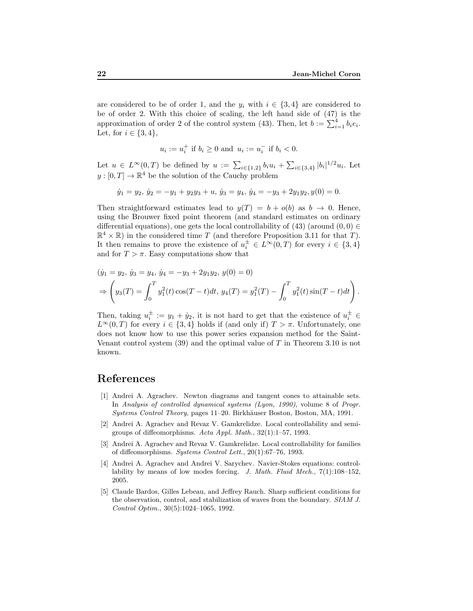are considered to be of order 1, and the  $y_i$  with  $i \in \{3, 4\}$  are considered to be of order 2. With this choice of scaling, the left hand side of (47) is the approximation of order 2 of the control system (43). Then, let  $b := \sum_{i=1}^{4} b_i e_i$ . Let, for  $i \in \{3, 4\}$ ,

$$
u_i := u_i^+
$$
 if  $b_i \ge 0$  and  $u_i := u_i^-$  if  $b_i < 0$ .

Let  $u \in L^{\infty}(0,T)$  be defined by  $u := \sum_{i \in \{1,2\}} b_i u_i + \sum_{i \in \{3,4\}} |b_i|^{1/2} u_i$ . Let  $y:[0,T] \to \mathbb{R}^4$  be the solution of the Cauchy problem

$$
\dot{y}_1 = y_2, \, \dot{y}_2 = -y_1 + y_2y_3 + u, \, \dot{y}_3 = y_4, \, \dot{y}_4 = -y_3 + 2y_1y_2, \, y(0) = 0.
$$

Then straightforward estimates lead to  $y(T) = b + o(b)$  as  $b \rightarrow 0$ . Hence, using the Brouwer fixed point theorem (and standard estimates on ordinary differential equations), one gets the local controllability of (43) (around  $(0, 0) \in$  $\mathbb{R}^4 \times \mathbb{R}$ ) in the considered time T (and therefore Proposition 3.11 for that T). It then remains to prove the existence of  $u_i^{\pm} \in L^{\infty}(0,T)$  for every  $i \in \{3,4\}$ and for  $T > \pi$ . Easy computations show that

$$
(\dot{y}_1 = y_2, \, \dot{y}_3 = y_4, \, \dot{y}_4 = -y_3 + 2y_1y_2, \, y(0) = 0)
$$
  
\n
$$
\Rightarrow \left(y_3(T) = \int_0^T y_1^2(t) \cos(T - t) dt, \, y_4(T) = y_1^2(T) - \int_0^T y_1^2(t) \sin(T - t) dt\right).
$$

Then, taking  $u_i^{\pm} := y_1 + \dot{y}_2$ , it is not hard to get that the existence of  $u_i^{\pm} \in$  $L^{\infty}(0,T)$  for every  $i \in \{3,4\}$  holds if (and only if)  $T > \pi$ . Unfortunately, one does not know how to use this power series expansion method for the Saint-Venant control system  $(39)$  and the optimal value of T in Theorem 3.10 is not known.

### References

- [1] Andrei A. Agrachev. Newton diagrams and tangent cones to attainable sets. In Analysis of controlled dynamical systems (Lyon, 1990), volume 8 of Progr. Systems Control Theory, pages 11–20. Birkhäuser Boston, Boston, MA, 1991.
- [2] Andrei A. Agrachev and Revaz V. Gamkrelidze. Local controllability and semigroups of diffeomorphisms. Acta Appl. Math., 32(1):1–57, 1993.
- [3] Andrei A. Agrachev and Revaz V. Gamkrelidze. Local controllability for families of diffeomorphisms. Systems Control Lett., 20(1):67–76, 1993.
- [4] Andrei A. Agrachev and Andrei V. Sarychev. Navier-Stokes equations: controllability by means of low modes forcing. J. Math. Fluid Mech.,  $7(1):108-152$ , 2005.
- [5] Claude Bardos, Gilles Lebeau, and Jeffrey Rauch. Sharp sufficient conditions for the observation, control, and stabilization of waves from the boundary. SIAM J. Control Optim., 30(5):1024–1065, 1992.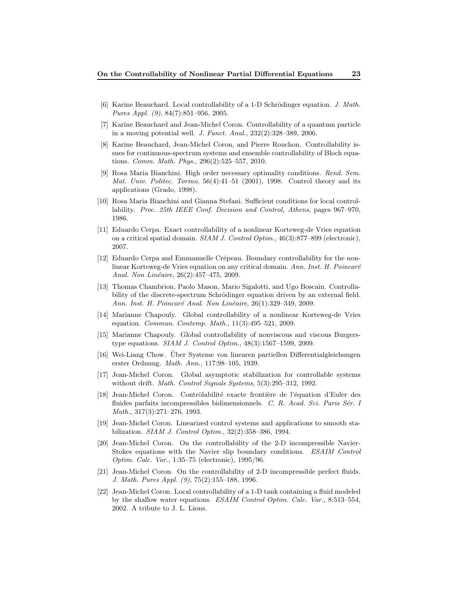- [6] Karine Beauchard. Local controllability of a 1-D Schrödinger equation. J. Math. Pures Appl. (9), 84(7):851–956, 2005.
- [7] Karine Beauchard and Jean-Michel Coron. Controllability of a quantum particle in a moving potential well. J. Funct. Anal., 232(2):328–389, 2006.
- [8] Karine Beauchard, Jean-Michel Coron, and Pierre Rouchon. Controllability issues for continuous-spectrum systems and ensemble controllability of Bloch equations. Comm. Math. Phys., 296(2):525–557, 2010.
- [9] Rosa Maria Bianchini. High order necessary optimality conditions. Rend. Sem. Mat. Univ. Politec. Torino,  $56(4):41-51$  (2001), 1998. Control theory and its applications (Grado, 1998).
- [10] Rosa Maria Bianchini and Gianna Stefani. Sufficient conditions for local controllability. Proc. 25th IEEE Conf. Decision and Control, Athens, pages 967–970, 1986.
- [11] Eduardo Cerpa. Exact controllability of a nonlinear Korteweg-de Vries equation on a critical spatial domain. SIAM J. Control Optim., 46(3):877–899 (electronic), 2007.
- [12] Eduardo Cerpa and Emmanuelle Crépeau. Boundary controllability for the nonlinear Korteweg-de Vries equation on any critical domain. Ann. Inst. H. Poincaré Anal. Non Linéaire, 26(2):457-475, 2009.
- [13] Thomas Chambrion, Paolo Mason, Mario Sigalotti, and Ugo Boscain. Controllability of the discrete-spectrum Schrödinger equation driven by an external field. Ann. Inst. H. Poincaré Anal. Non Linéaire, 26(1):329–349, 2009.
- [14] Marianne Chapouly. Global controllability of a nonlinear Korteweg-de Vries equation. Commun. Contemp. Math., 11(3):495–521, 2009.
- [15] Marianne Chapouly. Global controllability of nonviscous and viscous Burgerstype equations. SIAM J. Control Optim., 48(3):1567–1599, 2009.
- [16] Wei-Liang Chow. Uber Systeme von linearen partiellen Differentialgleichungen erster Ordnung. Math. Ann., 117:98–105, 1939.
- [17] Jean-Michel Coron. Global asymptotic stabilization for controllable systems without drift. *Math. Control Signals Systems*, 5(3):295-312, 1992.
- [18] Jean-Michel Coron. Contrôlabilité exacte frontière de l'équation d'Euler des fluides parfaits incompressibles bidimensionnels. C. R. Acad. Sci. Paris Sér. I Math., 317(3):271–276, 1993.
- [19] Jean-Michel Coron. Linearized control systems and applications to smooth stabilization. SIAM J. Control Optim., 32(2):358–386, 1994.
- [20] Jean-Michel Coron. On the controllability of the 2-D incompressible Navier-Stokes equations with the Navier slip boundary conditions. ESAIM Control Optim. Calc. Var., 1:35–75 (electronic), 1995/96.
- [21] Jean-Michel Coron. On the controllability of 2-D incompressible perfect fluids. J. Math. Pures Appl. (9), 75(2):155–188, 1996.
- [22] Jean-Michel Coron. Local controllability of a 1-D tank containing a fluid modeled by the shallow water equations. ESAIM Control Optim. Calc. Var., 8:513–554, 2002. A tribute to J. L. Lions.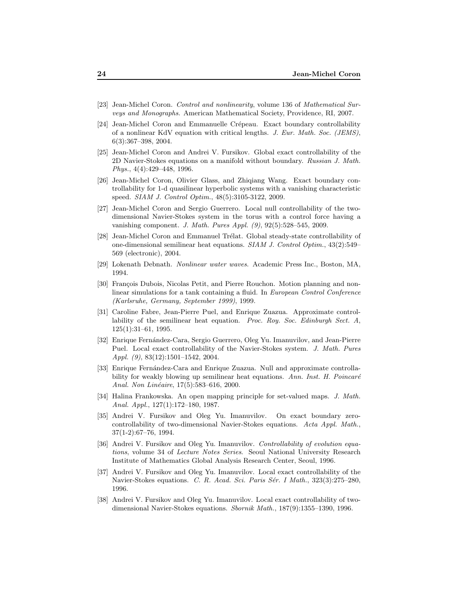- [23] Jean-Michel Coron. Control and nonlinearity, volume 136 of Mathematical Surveys and Monographs. American Mathematical Society, Providence, RI, 2007.
- [24] Jean-Michel Coron and Emmanuelle Crépeau. Exact boundary controllability of a nonlinear KdV equation with critical lengths. J. Eur. Math. Soc. (JEMS), 6(3):367–398, 2004.
- [25] Jean-Michel Coron and Andrei V. Fursikov. Global exact controllability of the 2D Navier-Stokes equations on a manifold without boundary. Russian J. Math. Phys., 4(4):429–448, 1996.
- [26] Jean-Michel Coron, Olivier Glass, and Zhiqiang Wang. Exact boundary controllability for 1-d quasilinear hyperbolic systems with a vanishing characteristic speed. SIAM J. Control Optim., 48(5):3105-3122, 2009.
- [27] Jean-Michel Coron and Sergio Guerrero. Local null controllability of the twodimensional Navier-Stokes system in the torus with a control force having a vanishing component. J. Math. Pures Appl. (9), 92(5):528–545, 2009.
- [28] Jean-Michel Coron and Emmanuel Trélat. Global steady-state controllability of one-dimensional semilinear heat equations. SIAM J. Control Optim., 43(2):549– 569 (electronic), 2004.
- [29] Lokenath Debnath. Nonlinear water waves. Academic Press Inc., Boston, MA, 1994.
- [30] François Dubois, Nicolas Petit, and Pierre Rouchon. Motion planning and nonlinear simulations for a tank containing a fluid. In European Control Conference (Karlsruhe, Germany, September 1999), 1999.
- [31] Caroline Fabre, Jean-Pierre Puel, and Enrique Zuazua. Approximate controllability of the semilinear heat equation. Proc. Roy. Soc. Edinburgh Sect. A, 125(1):31–61, 1995.
- [32] Enrique Fernández-Cara, Sergio Guerrero, Oleg Yu. Imanuvilov, and Jean-Pierre Puel. Local exact controllability of the Navier-Stokes system. J. Math. Pures Appl. (9), 83(12):1501–1542, 2004.
- [33] Enrique Fernández-Cara and Enrique Zuazua. Null and approximate controllability for weakly blowing up semilinear heat equations. Ann. Inst. H. Poincaré Anal. Non Linéaire, 17(5):583-616, 2000.
- [34] Halina Frankowska. An open mapping principle for set-valued maps. J. Math. Anal. Appl., 127(1):172–180, 1987.
- [35] Andrei V. Fursikov and Oleg Yu. Imanuvilov. On exact boundary zerocontrollability of two-dimensional Navier-Stokes equations. Acta Appl. Math., 37(1-2):67–76, 1994.
- [36] Andrei V. Fursikov and Oleg Yu. Imanuvilov. Controllability of evolution equations, volume 34 of Lecture Notes Series. Seoul National University Research Institute of Mathematics Global Analysis Research Center, Seoul, 1996.
- [37] Andrei V. Fursikov and Oleg Yu. Imanuvilov. Local exact controllability of the Navier-Stokes equations. C. R. Acad. Sci. Paris Sér. I Math., 323(3):275–280, 1996.
- [38] Andrei V. Fursikov and Oleg Yu. Imanuvilov. Local exact controllability of twodimensional Navier-Stokes equations. Sbornik Math., 187(9):1355–1390, 1996.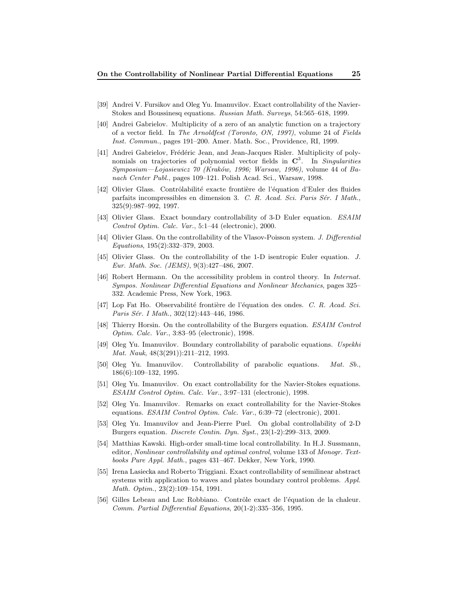- [39] Andrei V. Fursikov and Oleg Yu. Imanuvilov. Exact controllability of the Navier-Stokes and Boussinesq equations. Russian Math. Surveys, 54:565–618, 1999.
- [40] Andrei Gabrielov. Multiplicity of a zero of an analytic function on a trajectory of a vector field. In The Arnoldfest (Toronto, ON, 1997), volume 24 of Fields Inst. Commun., pages 191–200. Amer. Math. Soc., Providence, RI, 1999.
- [41] Andrei Gabrielov, Frédéric Jean, and Jean-Jacques Risler. Multiplicity of polynomials on trajectories of polynomial vector fields in  $\mathbb{C}^3$ . In Singularities Symposium—Lojasiewicz 70 (Kraków, 1996; Warsaw, 1996), volume 44 of Banach Center Publ., pages 109–121. Polish Acad. Sci., Warsaw, 1998.
- [42] Olivier Glass. Contrôlabilité exacte frontière de l'équation d'Euler des fluides parfaits incompressibles en dimension 3. C. R. Acad. Sci. Paris Sér. I Math., 325(9):987–992, 1997.
- [43] Olivier Glass. Exact boundary controllability of 3-D Euler equation. ESAIM Control Optim. Calc. Var., 5:1–44 (electronic), 2000.
- [44] Olivier Glass. On the controllability of the Vlasov-Poisson system. J. Differential Equations, 195(2):332–379, 2003.
- [45] Olivier Glass. On the controllability of the 1-D isentropic Euler equation. J. Eur. Math. Soc. (JEMS), 9(3):427–486, 2007.
- [46] Robert Hermann. On the accessibility problem in control theory. In Internat. Sympos. Nonlinear Differential Equations and Nonlinear Mechanics, pages 325– 332. Academic Press, New York, 1963.
- [47] Lop Fat Ho. Observabilité frontière de l'équation des ondes. C. R. Acad. Sci. Paris Sér. I Math., 302(12):443-446, 1986.
- [48] Thierry Horsin. On the controllability of the Burgers equation. ESAIM Control Optim. Calc. Var., 3:83–95 (electronic), 1998.
- [49] Oleg Yu. Imanuvilov. Boundary controllability of parabolic equations. Uspekhi Mat. Nauk, 48(3(291)):211–212, 1993.
- [50] Oleg Yu. Imanuvilov. Controllability of parabolic equations. Mat. Sb., 186(6):109–132, 1995.
- [51] Oleg Yu. Imanuvilov. On exact controllability for the Navier-Stokes equations. ESAIM Control Optim. Calc. Var., 3:97–131 (electronic), 1998.
- [52] Oleg Yu. Imanuvilov. Remarks on exact controllability for the Navier-Stokes equations. ESAIM Control Optim. Calc. Var., 6:39–72 (electronic), 2001.
- [53] Oleg Yu. Imanuvilov and Jean-Pierre Puel. On global controllability of 2-D Burgers equation. Discrete Contin. Dyn. Syst., 23(1-2):299–313, 2009.
- [54] Matthias Kawski. High-order small-time local controllability. In H.J. Sussmann, editor, Nonlinear controllability and optimal control, volume 133 of Monogr. Textbooks Pure Appl. Math., pages 431–467. Dekker, New York, 1990.
- [55] Irena Lasiecka and Roberto Triggiani. Exact controllability of semilinear abstract systems with application to waves and plates boundary control problems. Appl. Math. Optim., 23(2):109–154, 1991.
- [56] Gilles Lebeau and Luc Robbiano. Contrôle exact de l'équation de la chaleur. Comm. Partial Differential Equations, 20(1-2):335–356, 1995.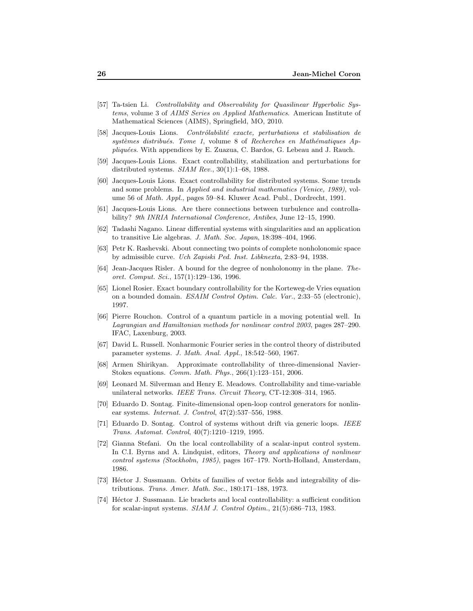- [57] Ta-tsien Li. Controllability and Observability for Quasilinear Hyperbolic Systems, volume 3 of AIMS Series on Applied Mathematics. American Institute of Mathematical Sciences (AIMS), Springfield, MO, 2010.
- $[58]$  Jacques-Louis Lions. Contrôlabilité exacte, perturbations et stabilisation de  $systèmes$  distribués. Tome 1, volume 8 of Recherches en Mathématiques Ap $pliquées. With appendices by E. Zuazua, C. Bardos, G. Lebeau and J. Rauch.$
- [59] Jacques-Louis Lions. Exact controllability, stabilization and perturbations for distributed systems.  $SIAM$   $Rev., 30(1):1-68, 1988.$
- [60] Jacques-Louis Lions. Exact controllability for distributed systems. Some trends and some problems. In Applied and industrial mathematics (Venice, 1989), volume 56 of Math. Appl., pages 59–84. Kluwer Acad. Publ., Dordrecht, 1991.
- [61] Jacques-Louis Lions. Are there connections between turbulence and controllability? 9th INRIA International Conference, Antibes, June 12–15, 1990.
- [62] Tadashi Nagano. Linear differential systems with singularities and an application to transitive Lie algebras. J. Math. Soc. Japan, 18:398–404, 1966.
- [63] Petr K. Rashevski. About connecting two points of complete nonholonomic space by admissible curve. Uch Zapiski Ped. Inst. Libknexta, 2:83–94, 1938.
- [64] Jean-Jacques Risler. A bound for the degree of nonholonomy in the plane. Theoret. Comput. Sci., 157(1):129–136, 1996.
- [65] Lionel Rosier. Exact boundary controllability for the Korteweg-de Vries equation on a bounded domain. ESAIM Control Optim. Calc. Var., 2:33–55 (electronic), 1997.
- [66] Pierre Rouchon. Control of a quantum particle in a moving potential well. In Lagrangian and Hamiltonian methods for nonlinear control 2003, pages 287–290. IFAC, Laxenburg, 2003.
- [67] David L. Russell. Nonharmonic Fourier series in the control theory of distributed parameter systems. J. Math. Anal. Appl., 18:542–560, 1967.
- [68] Armen Shirikyan. Approximate controllability of three-dimensional Navier-Stokes equations. Comm. Math. Phys., 266(1):123–151, 2006.
- [69] Leonard M. Silverman and Henry E. Meadows. Controllability and time-variable unilateral networks. IEEE Trans. Circuit Theory, CT-12:308–314, 1965.
- [70] Eduardo D. Sontag. Finite-dimensional open-loop control generators for nonlinear systems. Internat. J. Control, 47(2):537–556, 1988.
- [71] Eduardo D. Sontag. Control of systems without drift via generic loops. IEEE Trans. Automat. Control, 40(7):1210–1219, 1995.
- [72] Gianna Stefani. On the local controllability of a scalar-input control system. In C.I. Byrns and A. Lindquist, editors, Theory and applications of nonlinear control systems (Stockholm, 1985), pages 167–179. North-Holland, Amsterdam, 1986.
- [73] Héctor J. Sussmann. Orbits of families of vector fields and integrability of distributions. Trans. Amer. Math. Soc., 180:171–188, 1973.
- [74] Héctor J. Sussmann. Lie brackets and local controllability: a sufficient condition for scalar-input systems. SIAM J. Control Optim., 21(5):686–713, 1983.